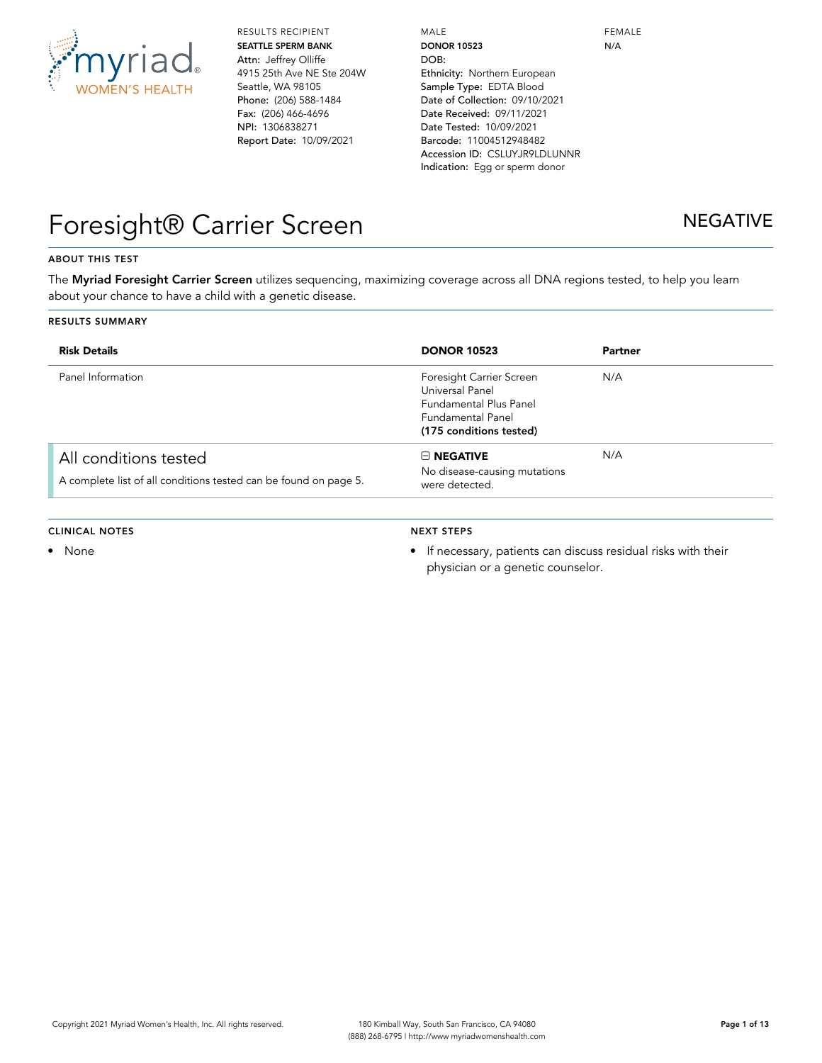

RESULTS RECIPIENT **SEATTLE SPERM BANK** Attn: Jeffrey Olliffe 4915 25th Ave NE Ste 204W Seattle, WA 98105 Phone: (206) 588-1484 Fax: (206) 466-4696 NPI: 1306838271 Report Date: 10/09/2021

MALE **DONOR 10523** DOB: Ethnicity: Northern European Sample Type: EDTA Blood Date of Collection: 09/10/2021 Date Received: 09/11/2021 Date Tested: 10/09/2021 Barcode: 11004512948482 Accession ID: CSLUYJR9LDLUNNR Indication: Egg or sperm donor

FEMALE N/A

## Foresight® Carrier Screen NEGATIVE

#### **ABOUT THIS TEST**

The **Myriad Foresight Carrier Screen** utilizes sequencing, maximizing coverage across all DNA regions tested, to help you learn about your chance to have a child with a genetic disease.

#### **RESULTS SUMMARY**

| <b>Risk Details</b>                                                                       | <b>DONOR 10523</b>                                                                                                                  | Partner |
|-------------------------------------------------------------------------------------------|-------------------------------------------------------------------------------------------------------------------------------------|---------|
| Panel Information                                                                         | Foresight Carrier Screen<br>Universal Panel<br><b>Fundamental Plus Panel</b><br><b>Fundamental Panel</b><br>(175 conditions tested) | N/A     |
| All conditions tested<br>A complete list of all conditions tested can be found on page 5. | $\boxminus$ NEGATIVE<br>No disease-causing mutations<br>were detected.                                                              | N/A     |

#### **CLINICAL NOTES**

• None

### **NEXT STEPS**

• If necessary, patients can discuss residual risks with their physician or a genetic counselor.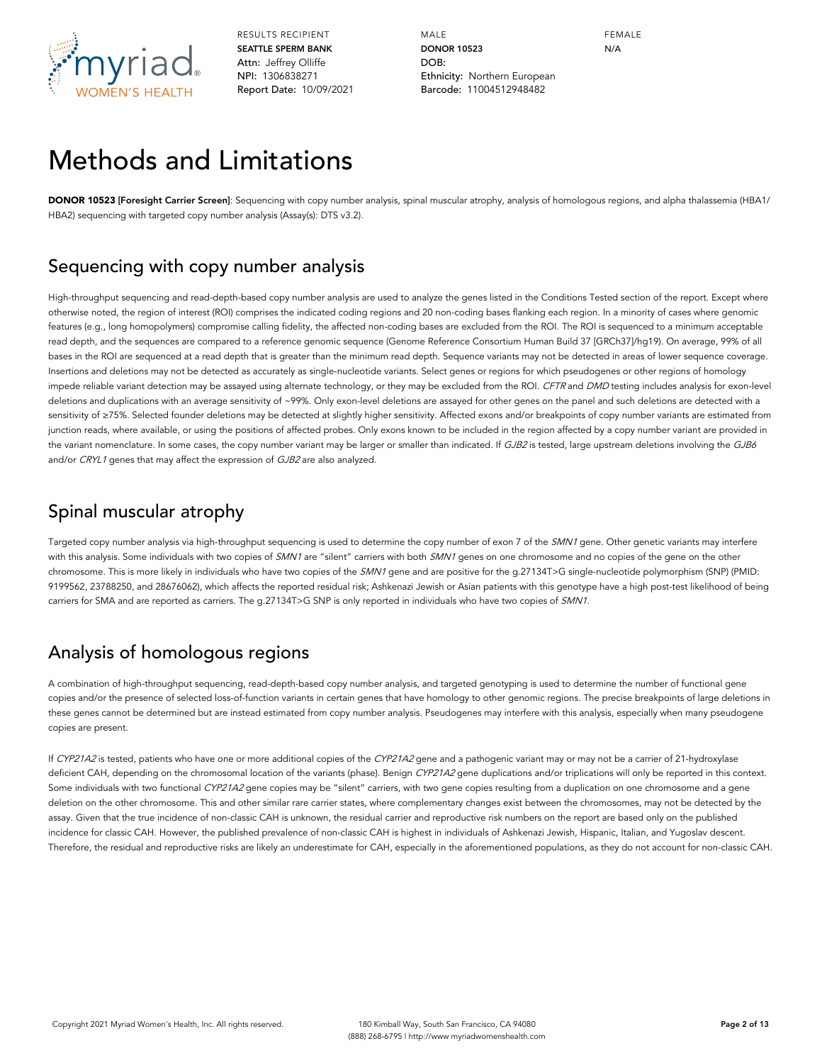

MALE **DONOR 10523** DOB: Ethnicity: Northern European Barcode: 11004512948482

FEMALE N/A

## Methods and Limitations

**DONOR 10523 [Foresight Carrier Screen]**: Sequencing with copy number analysis, spinal muscular atrophy, analysis of homologous regions, and alpha thalassemia (HBA1/ HBA2) sequencing with targeted copy number analysis (Assay(s): DTS v3.2).

### Sequencing with copy number analysis

High-throughput sequencing and read-depth-based copy number analysis are used to analyze the genes listed in the Conditions Tested section of the report. Except where otherwise noted, the region of interest (ROI) comprises the indicated coding regions and 20 non-coding bases flanking each region. In a minority of cases where genomic features (e.g., long homopolymers) compromise calling fidelity, the affected non-coding bases are excluded from the ROI. The ROI is sequenced to a minimum acceptable read depth, and the sequences are compared to a reference genomic sequence (Genome Reference Consortium Human Build 37 [GRCh37]/hg19). On average, 99% of all bases in the ROI are sequenced at a read depth that is greater than the minimum read depth. Sequence variants may not be detected in areas of lower sequence coverage. Insertions and deletions may not be detected as accurately as single-nucleotide variants. Select genes or regions for which pseudogenes or other regions of homology impede reliable variant detection may be assayed using alternate technology, or they may be excluded from the ROI. CFTR and DMD testing includes analysis for exon-level deletions and duplications with an average sensitivity of ~99%. Only exon-level deletions are assayed for other genes on the panel and such deletions are detected with a sensitivity of ≥75%. Selected founder deletions may be detected at slightly higher sensitivity. Affected exons and/or breakpoints of copy number variants are estimated from junction reads, where available, or using the positions of affected probes. Only exons known to be included in the region affected by a copy number variant are provided in the variant nomenclature. In some cases, the copy number variant may be larger or smaller than indicated. If GJB2 is tested, large upstream deletions involving the GJB6 and/or CRYL1 genes that may affect the expression of GJB2 are also analyzed.

### Spinal muscular atrophy

Targeted copy number analysis via high-throughput sequencing is used to determine the copy number of exon 7 of the SMN1 gene. Other genetic variants may interfere with this analysis. Some individuals with two copies of SMN1 are "silent" carriers with both SMN1 genes on one chromosome and no copies of the gene on the other chromosome. This is more likely in individuals who have two copies of the SMN1 gene and are positive for the q.27134T>G single-nucleotide polymorphism (SNP) (PMID: 9199562, 23788250, and 28676062), which affects the reported residual risk; Ashkenazi Jewish or Asian patients with this genotype have a high post-test likelihood of being carriers for SMA and are reported as carriers. The g.27134T>G SNP is only reported in individuals who have two copies of SMN1.

## Analysis of homologous regions

A combination of high-throughput sequencing, read-depth-based copy number analysis, and targeted genotyping is used to determine the number of functional gene copies and/or the presence of selected loss-of-function variants in certain genes that have homology to other genomic regions. The precise breakpoints of large deletions in these genes cannot be determined but are instead estimated from copy number analysis. Pseudogenes may interfere with this analysis, especially when many pseudogene copies are present.

If CYP21A2 is tested, patients who have one or more additional copies of the CYP21A2 gene and a pathogenic variant may or may not be a carrier of 21-hydroxylase deficient CAH, depending on the chromosomal location of the variants (phase). Benign CYP21A2 gene duplications and/or triplications will only be reported in this context. Some individuals with two functional CYP21A2 gene copies may be "silent" carriers, with two gene copies resulting from a duplication on one chromosome and a gene deletion on the other chromosome. This and other similar rare carrier states, where complementary changes exist between the chromosomes, may not be detected by the assay. Given that the true incidence of non-classic CAH is unknown, the residual carrier and reproductive risk numbers on the report are based only on the published incidence for classic CAH. However, the published prevalence of non-classic CAH is highest in individuals of Ashkenazi Jewish, Hispanic, Italian, and Yugoslav descent. Therefore, the residual and reproductive risks are likely an underestimate for CAH, especially in the aforementioned populations, as they do not account for non-classic CAH.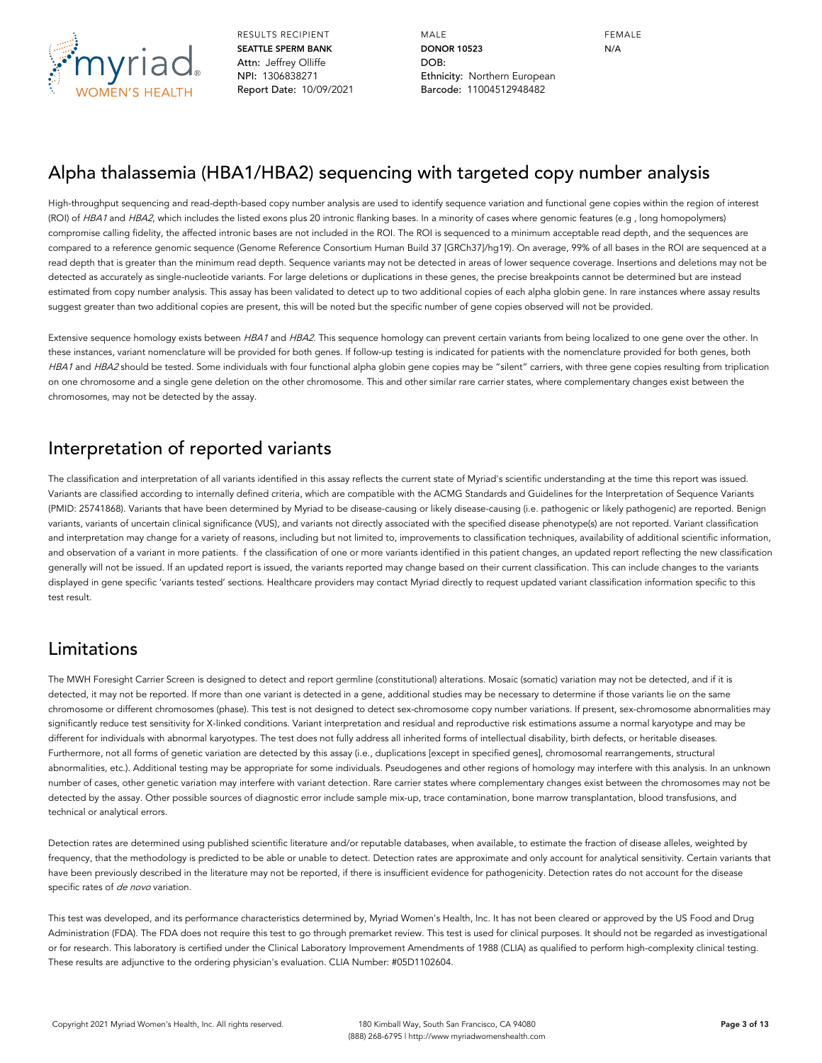

MALE **DONOR 10523** DOB: Ethnicity: Northern European Barcode: 11004512948482

FEMALE N/A

### Alpha thalassemia (HBA1/HBA2) sequencing with targeted copy number analysis

High-throughput sequencing and read-depth-based copy number analysis are used to identify sequence variation and functional gene copies within the region of interest (ROI) of HBA1 and HBA2, which includes the listed exons plus 20 intronic flanking bases. In a minority of cases where genomic features (e.g., long homopolymers) compromise calling fidelity, the affected intronic bases are not included in the ROI. The ROI is sequenced to a minimum acceptable read depth, and the sequences are compared to a reference genomic sequence (Genome Reference Consortium Human Build 37 [GRCh37]/hg19). On average, 99% of all bases in the ROI are sequenced at a read depth that is greater than the minimum read depth. Sequence variants may not be detected in areas of lower sequence coverage. Insertions and deletions may not be detected as accurately as single-nucleotide variants. For large deletions or duplications in these genes, the precise breakpoints cannot be determined but are instead estimated from copy number analysis. This assay has been validated to detect up to two additional copies of each alpha globin gene. In rare instances where assay results suggest greater than two additional copies are present, this will be noted but the specific number of gene copies observed will not be provided.

Extensive sequence homology exists between HBA1 and HBA2. This sequence homology can prevent certain variants from being localized to one gene over the other. In these instances, variant nomenclature will be provided for both genes. If follow-up testing is indicated for patients with the nomenclature provided for both genes, both HBA1 and HBA2 should be tested. Some individuals with four functional alpha globin gene copies may be "silent" carriers, with three gene copies resulting from triplication on one chromosome and a single gene deletion on the other chromosome. This and other similar rare carrier states, where complementary changes exist between the chromosomes, may not be detected by the assay.

### Interpretation of reported variants

The classification and interpretation of all variants identified in this assay reflects the current state of Myriad's scientific understanding at the time this report was issued. Variants are classified according to internally defined criteria, which are compatible with the ACMG Standards and Guidelines for the Interpretation of Sequence Variants (PMID: 25741868). Variants that have been determined by Myriad to be disease-causing or likely disease-causing (i.e. pathogenic or likely pathogenic) are reported. Benign variants, variants of uncertain clinical significance (VUS), and variants not directly associated with the specified disease phenotype(s) are not reported. Variant classification and interpretation may change for a variety of reasons, including but not limited to, improvements to classification techniques, availability of additional scientific information, and observation of a variant in more patients. f the classification of one or more variants identified in this patient changes, an updated report reflecting the new classification generally will not be issued. If an updated report is issued, the variants reported may change based on their current classification. This can include changes to the variants displayed in gene specific 'variants tested' sections. Healthcare providers may contact Myriad directly to request updated variant classification information specific to this test result.

### Limitations

The MWH Foresight Carrier Screen is designed to detect and report germline (constitutional) alterations. Mosaic (somatic) variation may not be detected, and if it is detected, it may not be reported. If more than one variant is detected in a gene, additional studies may be necessary to determine if those variants lie on the same chromosome or different chromosomes (phase). This test is not designed to detect sex-chromosome copy number variations. If present, sex-chromosome abnormalities may significantly reduce test sensitivity for X-linked conditions. Variant interpretation and residual and reproductive risk estimations assume a normal karyotype and may be different for individuals with abnormal karyotypes. The test does not fully address all inherited forms of intellectual disability, birth defects, or heritable diseases. Furthermore, not all forms of genetic variation are detected by this assay (i.e., duplications [except in specified genes], chromosomal rearrangements, structural abnormalities, etc.). Additional testing may be appropriate for some individuals. Pseudogenes and other regions of homology may interfere with this analysis. In an unknown number of cases, other genetic variation may interfere with variant detection. Rare carrier states where complementary changes exist between the chromosomes may not be detected by the assay. Other possible sources of diagnostic error include sample mix-up, trace contamination, bone marrow transplantation, blood transfusions, and technical or analytical errors.

Detection rates are determined using published scientific literature and/or reputable databases, when available, to estimate the fraction of disease alleles, weighted by frequency, that the methodology is predicted to be able or unable to detect. Detection rates are approximate and only account for analytical sensitivity. Certain variants that have been previously described in the literature may not be reported, if there is insufficient evidence for pathogenicity. Detection rates do not account for the disease specific rates of de novo variation.

This test was developed, and its performance characteristics determined by, Myriad Women's Health, Inc. It has not been cleared or approved by the US Food and Drug Administration (FDA). The FDA does not require this test to go through premarket review. This test is used for clinical purposes. It should not be regarded as investigational or for research. This laboratory is certified under the Clinical Laboratory Improvement Amendments of 1988 (CLIA) as qualified to perform high-complexity clinical testing. These results are adjunctive to the ordering physician's evaluation. CLIA Number: #05D1102604.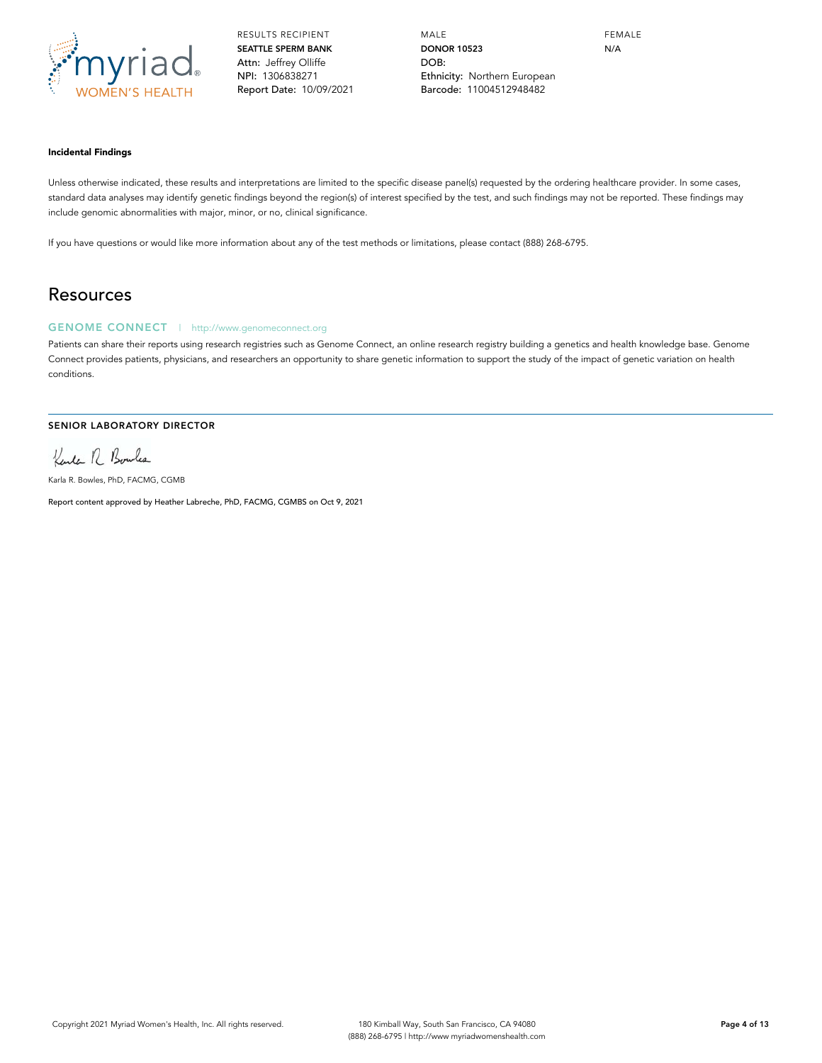

MALE **DONOR 10523** DOB: Ethnicity: Northern European Barcode: 11004512948482

FEMALE N/A

#### **Incidental Findings**

Unless otherwise indicated, these results and interpretations are limited to the specific disease panel(s) requested by the ordering healthcare provider. In some cases, standard data analyses may identify genetic findings beyond the region(s) of interest specified by the test, and such findings may not be reported. These findings may include genomic abnormalities with major, minor, or no, clinical significance.

If you have questions or would like more information about any of the test methods or limitations, please contact (888) 268-6795.

### Resources

### **GENOME CONNECT** | http://www.genomeconnect.org

Patients can share their reports using research registries such as Genome Connect, an online research registry building a genetics and health knowledge base. Genome Connect provides patients, physicians, and researchers an opportunity to share genetic information to support the study of the impact of genetic variation on health conditions.

#### **SENIOR LABORATORY DIRECTOR**

Kenter R. Boules

Karla R. Bowles, PhD, FACMG, CGMB

Report content approved by Heather Labreche, PhD, FACMG, CGMBS on Oct 9, 2021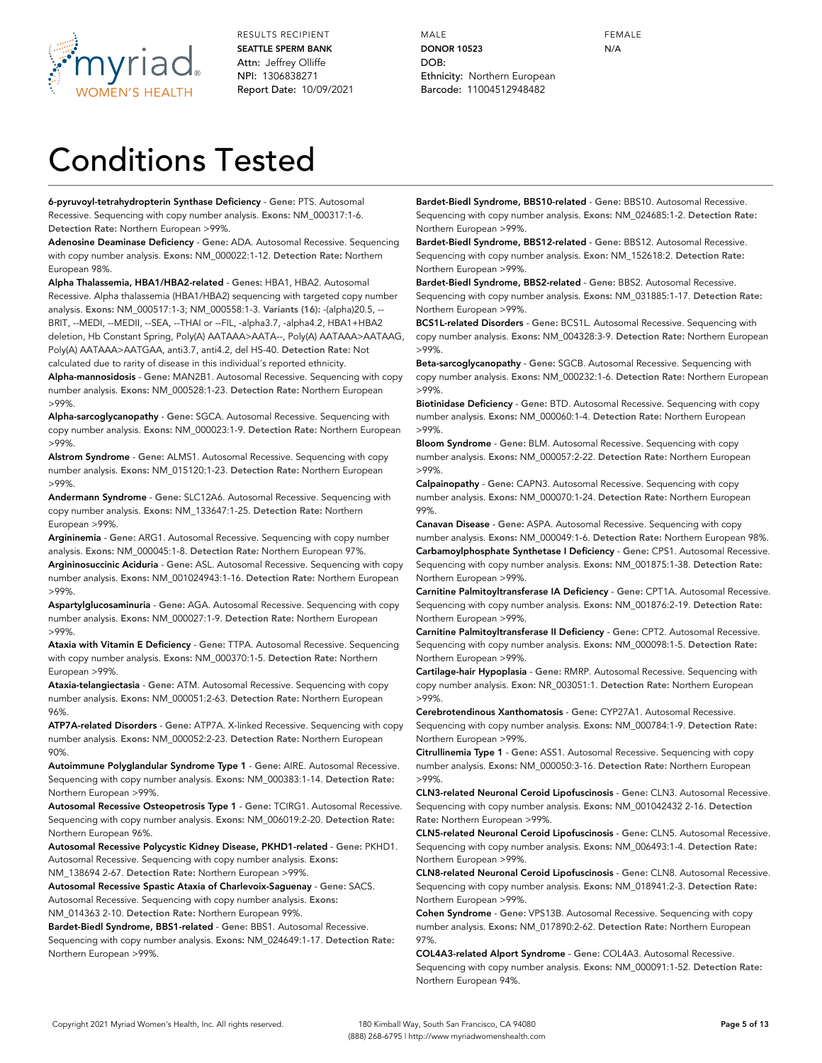

MALE **DONOR 10523** DOB: Ethnicity: Northern European Barcode: 11004512948482

FEMALE N/A

# Conditions Tested

**6-pyruvoyl-tetrahydropterin Synthase Deficiency** - **Gene:** PTS. Autosomal Recessive. Sequencing with copy number analysis. **Exons:** NM\_000317:1-6. **Detection Rate:** Northern European >99%.

**Adenosine Deaminase Deficiency** - **Gene:** ADA. Autosomal Recessive. Sequencing with copy number analysis. **Exons:** NM\_000022:1-12. **Detection Rate:** Northern European 98%.

**Alpha Thalassemia, HBA1/HBA2-related** - **Genes:** HBA1, HBA2. Autosomal Recessive. Alpha thalassemia (HBA1/HBA2) sequencing with targeted copy number analysis. **Exons:** NM\_000517:1-3; NM\_000558:1-3. **Variants (16):** -(alpha)20.5, -- BRIT, --MEDI, --MEDII, --SEA, --THAI or --FIL, -alpha3.7, -alpha4.2, HBA1+HBA2 deletion, Hb Constant Spring, Poly(A) AATAAA>AATA--, Poly(A) AATAAA>AATAAG, Poly(A) AATAAA>AATGAA, anti3.7, anti4.2, del HS-40. **Detection Rate:** Not calculated due to rarity of disease in this individual's reported ethnicity.

**Alpha-mannosidosis** - **Gene:** MAN2B1. Autosomal Recessive. Sequencing with copy number analysis. **Exons:** NM\_000528:1-23. **Detection Rate:** Northern European >99%.

**Alpha-sarcoglycanopathy** - **Gene:** SGCA. Autosomal Recessive. Sequencing with copy number analysis. **Exons:** NM\_000023:1-9. **Detection Rate:** Northern European >99%.

**Alstrom Syndrome** - **Gene:** ALMS1. Autosomal Recessive. Sequencing with copy number analysis. **Exons:** NM\_015120:1-23. **Detection Rate:** Northern European >99%.

**Andermann Syndrome** - **Gene:** SLC12A6. Autosomal Recessive. Sequencing with copy number analysis. **Exons:** NM\_133647:1-25. **Detection Rate:** Northern European >99%.

**Argininemia** - **Gene:** ARG1. Autosomal Recessive. Sequencing with copy number analysis. **Exons:** NM\_000045:1-8. **Detection Rate:** Northern European 97%.

**Argininosuccinic Aciduria** - **Gene:** ASL. Autosomal Recessive. Sequencing with copy number analysis. **Exons:** NM\_001024943:1-16. **Detection Rate:** Northern European >99%.

**Aspartylglucosaminuria** - **Gene:** AGA. Autosomal Recessive. Sequencing with copy number analysis. **Exons:** NM\_000027:1-9. **Detection Rate:** Northern European >99%.

**Ataxia with Vitamin E Deficiency** - **Gene:** TTPA. Autosomal Recessive. Sequencing with copy number analysis. **Exons:** NM\_000370:1-5. **Detection Rate:** Northern European >99%.

**Ataxia-telangiectasia** - **Gene:** ATM. Autosomal Recessive. Sequencing with copy number analysis. **Exons:** NM\_000051:2-63. **Detection Rate:** Northern European 96%.

**ATP7A-related Disorders** - **Gene:** ATP7A. X-linked Recessive. Sequencing with copy number analysis. **Exons:** NM\_000052:2-23. **Detection Rate:** Northern European 90%.

**Autoimmune Polyglandular Syndrome Type 1** - **Gene:** AIRE. Autosomal Recessive. Sequencing with copy number analysis. **Exons:** NM\_000383:1-14. **Detection Rate:** Northern European >99%.

**Autosomal Recessive Osteopetrosis Type 1** - **Gene:** TCIRG1. Autosomal Recessive. Sequencing with copy number analysis. **Exons:** NM\_006019:2-20. **Detection Rate:** Northern European 96%.

**Autosomal Recessive Polycystic Kidney Disease, PKHD1-related** - **Gene:** PKHD1. Autosomal Recessive. Sequencing with copy number analysis. **Exons:**

NM\_138694 2-67. **Detection Rate:** Northern European >99%.

**Autosomal Recessive Spastic Ataxia of Charlevoix-Saguenay** - **Gene:** SACS. Autosomal Recessive. Sequencing with copy number analysis. **Exons:** NM\_014363 2-10. **Detection Rate:** Northern European 99%.

**Bardet-Biedl Syndrome, BBS1-related** - **Gene:** BBS1. Autosomal Recessive. Sequencing with copy number analysis. **Exons:** NM\_024649:1-17. **Detection Rate:** Northern European >99%.

**Bardet-Biedl Syndrome, BBS10-related** - **Gene:** BBS10. Autosomal Recessive. Sequencing with copy number analysis. **Exons:** NM\_024685:1-2. **Detection Rate:** Northern European >99%.

**Bardet-Biedl Syndrome, BBS12-related** - **Gene:** BBS12. Autosomal Recessive. Sequencing with copy number analysis. **Exon:** NM\_152618:2. **Detection Rate:** Northern European >99%.

**Bardet-Biedl Syndrome, BBS2-related** - **Gene:** BBS2. Autosomal Recessive. Sequencing with copy number analysis. **Exons:** NM\_031885:1-17. **Detection Rate:** Northern European >99%.

**BCS1L-related Disorders** - **Gene:** BCS1L. Autosomal Recessive. Sequencing with copy number analysis. **Exons:** NM\_004328:3-9. **Detection Rate:** Northern European >99%.

**Beta-sarcoglycanopathy** - **Gene:** SGCB. Autosomal Recessive. Sequencing with copy number analysis. **Exons:** NM\_000232:1-6. **Detection Rate:** Northern European >99%.

**Biotinidase Deficiency** - **Gene:** BTD. Autosomal Recessive. Sequencing with copy number analysis. **Exons:** NM\_000060:1-4. **Detection Rate:** Northern European >99%.

**Bloom Syndrome** - **Gene:** BLM. Autosomal Recessive. Sequencing with copy number analysis. **Exons:** NM\_000057:2-22. **Detection Rate:** Northern European >99%.

**Calpainopathy** - **Gene:** CAPN3. Autosomal Recessive. Sequencing with copy number analysis. **Exons:** NM\_000070:1-24. **Detection Rate:** Northern European 99%.

**Canavan Disease** - **Gene:** ASPA. Autosomal Recessive. Sequencing with copy number analysis. **Exons:** NM\_000049:1-6. **Detection Rate:** Northern European 98%. **Carbamoylphosphate Synthetase I Deficiency** - **Gene:** CPS1. Autosomal Recessive. Sequencing with copy number analysis. **Exons:** NM\_001875:1-38. **Detection Rate:** Northern European >99%.

**Carnitine Palmitoyltransferase IA Deficiency** - **Gene:** CPT1A. Autosomal Recessive. Sequencing with copy number analysis. **Exons:** NM\_001876:2-19. **Detection Rate:** Northern European >99%.

**Carnitine Palmitoyltransferase II Deficiency** - **Gene:** CPT2. Autosomal Recessive. Sequencing with copy number analysis. **Exons:** NM\_000098:1-5. **Detection Rate:** Northern European >99%.

**Cartilage-hair Hypoplasia** - **Gene:** RMRP. Autosomal Recessive. Sequencing with copy number analysis. **Exon:** NR\_003051:1. **Detection Rate:** Northern European >99%.

**Cerebrotendinous Xanthomatosis** - **Gene:** CYP27A1. Autosomal Recessive. Sequencing with copy number analysis. **Exons:** NM\_000784:1-9. **Detection Rate:** Northern European >99%.

**Citrullinemia Type 1** - **Gene:** ASS1. Autosomal Recessive. Sequencing with copy number analysis. **Exons:** NM\_000050:3-16. **Detection Rate:** Northern European >99%.

**CLN3-related Neuronal Ceroid Lipofuscinosis** - **Gene:** CLN3. Autosomal Recessive. Sequencing with copy number analysis. **Exons:** NM\_001042432 2-16. **Detection Rate:** Northern European >99%.

**CLN5-related Neuronal Ceroid Lipofuscinosis** - **Gene:** CLN5. Autosomal Recessive. Sequencing with copy number analysis. **Exons:** NM\_006493:1-4. **Detection Rate:** Northern European >99%.

**CLN8-related Neuronal Ceroid Lipofuscinosis** - **Gene:** CLN8. Autosomal Recessive. Sequencing with copy number analysis. **Exons:** NM\_018941:2-3. **Detection Rate:** Northern European >99%.

**Cohen Syndrome** - **Gene:** VPS13B. Autosomal Recessive. Sequencing with copy number analysis. **Exons:** NM\_017890:2-62. **Detection Rate:** Northern European 97%.

**COL4A3-related Alport Syndrome** - **Gene:** COL4A3. Autosomal Recessive. Sequencing with copy number analysis. **Exons:** NM\_000091:1-52. **Detection Rate:** Northern European 94%.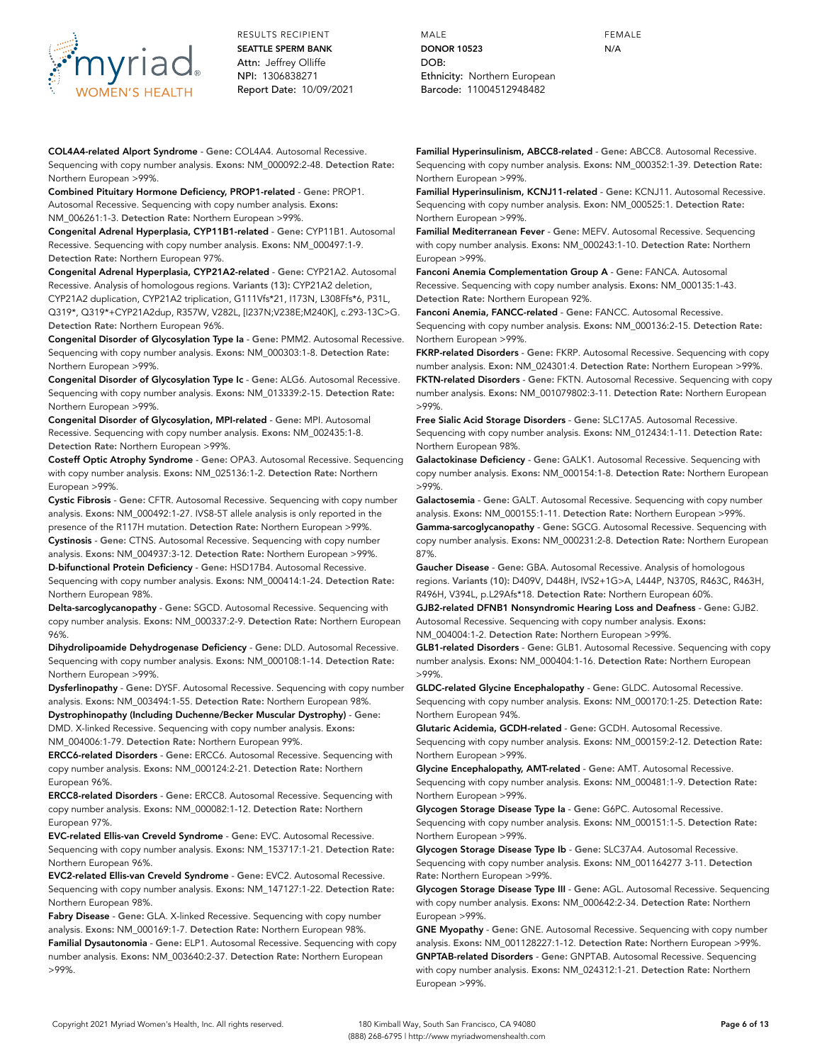

**COL4A4-related Alport Syndrome** - **Gene:** COL4A4. Autosomal Recessive. Sequencing with copy number analysis. **Exons:** NM\_000092:2-48. **Detection Rate:** Northern European >99%.

**Combined Pituitary Hormone Deficiency, PROP1-related** - **Gene:** PROP1. Autosomal Recessive. Sequencing with copy number analysis. **Exons:** NM\_006261:1-3. **Detection Rate:** Northern European >99%.

**Congenital Adrenal Hyperplasia, CYP11B1-related** - **Gene:** CYP11B1. Autosomal Recessive. Sequencing with copy number analysis. **Exons:** NM\_000497:1-9. **Detection Rate:** Northern European 97%.

**Congenital Adrenal Hyperplasia, CYP21A2-related** - **Gene:** CYP21A2. Autosomal Recessive. Analysis of homologous regions. **Variants (13):** CYP21A2 deletion, CYP21A2 duplication, CYP21A2 triplication, G111Vfs\*21, I173N, L308Ffs\*6, P31L, Q319\*, Q319\*+CYP21A2dup, R357W, V282L, [I237N;V238E;M240K], c.293-13C>G. **Detection Rate:** Northern European 96%.

**Congenital Disorder of Glycosylation Type Ia** - **Gene:** PMM2. Autosomal Recessive. Sequencing with copy number analysis. **Exons:** NM\_000303:1-8. **Detection Rate:** Northern European >99%.

**Congenital Disorder of Glycosylation Type Ic** - **Gene:** ALG6. Autosomal Recessive. Sequencing with copy number analysis. **Exons:** NM\_013339:2-15. **Detection Rate:** Northern European >99%.

**Congenital Disorder of Glycosylation, MPI-related** - **Gene:** MPI. Autosomal Recessive. Sequencing with copy number analysis. **Exons:** NM\_002435:1-8. **Detection Rate:** Northern European >99%.

**Costeff Optic Atrophy Syndrome** - **Gene:** OPA3. Autosomal Recessive. Sequencing with copy number analysis. **Exons:** NM\_025136:1-2. **Detection Rate:** Northern European >99%.

**Cystic Fibrosis** - **Gene:** CFTR. Autosomal Recessive. Sequencing with copy number analysis. **Exons:** NM\_000492:1-27. IVS8-5T allele analysis is only reported in the presence of the R117H mutation. **Detection Rate:** Northern European >99%.

**Cystinosis** - **Gene:** CTNS. Autosomal Recessive. Sequencing with copy number analysis. **Exons:** NM\_004937:3-12. **Detection Rate:** Northern European >99%. **D-bifunctional Protein Deficiency** - **Gene:** HSD17B4. Autosomal Recessive. Sequencing with copy number analysis. **Exons:** NM\_000414:1-24. **Detection Rate:** Northern European 98%.

**Delta-sarcoglycanopathy** - **Gene:** SGCD. Autosomal Recessive. Sequencing with copy number analysis. **Exons:** NM\_000337:2-9. **Detection Rate:** Northern European 96%.

**Dihydrolipoamide Dehydrogenase Deficiency** - **Gene:** DLD. Autosomal Recessive. Sequencing with copy number analysis. **Exons:** NM\_000108:1-14. **Detection Rate:** Northern European >99%.

**Dysferlinopathy** - **Gene:** DYSF. Autosomal Recessive. Sequencing with copy number analysis. **Exons:** NM\_003494:1-55. **Detection Rate:** Northern European 98%.

**Dystrophinopathy (Including Duchenne/Becker Muscular Dystrophy)** - **Gene:** DMD. X-linked Recessive. Sequencing with copy number analysis. **Exons:** NM\_004006:1-79. **Detection Rate:** Northern European 99%.

**ERCC6-related Disorders** - **Gene:** ERCC6. Autosomal Recessive. Sequencing with copy number analysis. **Exons:** NM\_000124:2-21. **Detection Rate:** Northern European 96%.

**ERCC8-related Disorders** - **Gene:** ERCC8. Autosomal Recessive. Sequencing with copy number analysis. **Exons:** NM\_000082:1-12. **Detection Rate:** Northern European 97%.

**EVC-related Ellis-van Creveld Syndrome** - **Gene:** EVC. Autosomal Recessive. Sequencing with copy number analysis. **Exons:** NM\_153717:1-21. **Detection Rate:** Northern European 96%.

**EVC2-related Ellis-van Creveld Syndrome** - **Gene:** EVC2. Autosomal Recessive. Sequencing with copy number analysis. **Exons:** NM\_147127:1-22. **Detection Rate:** Northern European 98%.

**Fabry Disease** - **Gene:** GLA. X-linked Recessive. Sequencing with copy number analysis. **Exons:** NM\_000169:1-7. **Detection Rate:** Northern European 98%. **Familial Dysautonomia** - **Gene:** ELP1. Autosomal Recessive. Sequencing with copy number analysis. **Exons:** NM\_003640:2-37. **Detection Rate:** Northern European >99%.

MALE **DONOR 10523** DOB: Ethnicity: Northern European Barcode: 11004512948482

**Familial Hyperinsulinism, ABCC8-related** - **Gene:** ABCC8. Autosomal Recessive. Sequencing with copy number analysis. **Exons:** NM\_000352:1-39. **Detection Rate:** Northern European >99%.

FEMALE N/A

**Familial Hyperinsulinism, KCNJ11-related** - **Gene:** KCNJ11. Autosomal Recessive. Sequencing with copy number analysis. **Exon:** NM\_000525:1. **Detection Rate:** Northern European >99%.

**Familial Mediterranean Fever** - **Gene:** MEFV. Autosomal Recessive. Sequencing with copy number analysis. **Exons:** NM\_000243:1-10. **Detection Rate:** Northern European >99%.

**Fanconi Anemia Complementation Group A** - **Gene:** FANCA. Autosomal Recessive. Sequencing with copy number analysis. **Exons:** NM\_000135:1-43. **Detection Rate:** Northern European 92%.

**Fanconi Anemia, FANCC-related** - **Gene:** FANCC. Autosomal Recessive. Sequencing with copy number analysis. **Exons:** NM\_000136:2-15. **Detection Rate:** Northern European >99%.

**FKRP-related Disorders** - **Gene:** FKRP. Autosomal Recessive. Sequencing with copy number analysis. **Exon:** NM\_024301:4. **Detection Rate:** Northern European >99%. **FKTN-related Disorders** - **Gene:** FKTN. Autosomal Recessive. Sequencing with copy number analysis. **Exons:** NM\_001079802:3-11. **Detection Rate:** Northern European >99%.

**Free Sialic Acid Storage Disorders** - **Gene:** SLC17A5. Autosomal Recessive. Sequencing with copy number analysis. **Exons:** NM\_012434:1-11. **Detection Rate:** Northern European 98%.

**Galactokinase Deficiency** - **Gene:** GALK1. Autosomal Recessive. Sequencing with copy number analysis. **Exons:** NM\_000154:1-8. **Detection Rate:** Northern European >99%.

**Galactosemia** - **Gene:** GALT. Autosomal Recessive. Sequencing with copy number analysis. **Exons:** NM\_000155:1-11. **Detection Rate:** Northern European >99%.

**Gamma-sarcoglycanopathy** - **Gene:** SGCG. Autosomal Recessive. Sequencing with copy number analysis. **Exons:** NM\_000231:2-8. **Detection Rate:** Northern European 87%.

**Gaucher Disease** - **Gene:** GBA. Autosomal Recessive. Analysis of homologous regions. **Variants (10):** D409V, D448H, IVS2+1G>A, L444P, N370S, R463C, R463H, R496H, V394L, p.L29Afs\*18. **Detection Rate:** Northern European 60%.

**GJB2-related DFNB1 Nonsyndromic Hearing Loss and Deafness** - **Gene:** GJB2. Autosomal Recessive. Sequencing with copy number analysis. **Exons:** NM\_004004:1-2. **Detection Rate:** Northern European >99%.

**GLB1-related Disorders** - **Gene:** GLB1. Autosomal Recessive. Sequencing with copy number analysis. **Exons:** NM\_000404:1-16. **Detection Rate:** Northern European >99%.

**GLDC-related Glycine Encephalopathy** - **Gene:** GLDC. Autosomal Recessive. Sequencing with copy number analysis. **Exons:** NM\_000170:1-25. **Detection Rate:** Northern European 94%.

**Glutaric Acidemia, GCDH-related** - **Gene:** GCDH. Autosomal Recessive. Sequencing with copy number analysis. **Exons:** NM\_000159:2-12. **Detection Rate:** Northern European >99%.

**Glycine Encephalopathy, AMT-related** - **Gene:** AMT. Autosomal Recessive. Sequencing with copy number analysis. **Exons:** NM\_000481:1-9. **Detection Rate:** Northern European >99%.

**Glycogen Storage Disease Type Ia** - **Gene:** G6PC. Autosomal Recessive. Sequencing with copy number analysis. **Exons:** NM\_000151:1-5. **Detection Rate:** Northern European >99%.

**Glycogen Storage Disease Type Ib** - **Gene:** SLC37A4. Autosomal Recessive. Sequencing with copy number analysis. **Exons:** NM\_001164277 3-11. **Detection Rate:** Northern European >99%.

**Glycogen Storage Disease Type III** - **Gene:** AGL. Autosomal Recessive. Sequencing with copy number analysis. **Exons:** NM\_000642:2-34. **Detection Rate:** Northern European >99%.

**GNE Myopathy** - **Gene:** GNE. Autosomal Recessive. Sequencing with copy number analysis. **Exons:** NM\_001128227:1-12. **Detection Rate:** Northern European >99%. **GNPTAB-related Disorders** - **Gene:** GNPTAB. Autosomal Recessive. Sequencing with copy number analysis. **Exons:** NM\_024312:1-21. **Detection Rate:** Northern European >99%.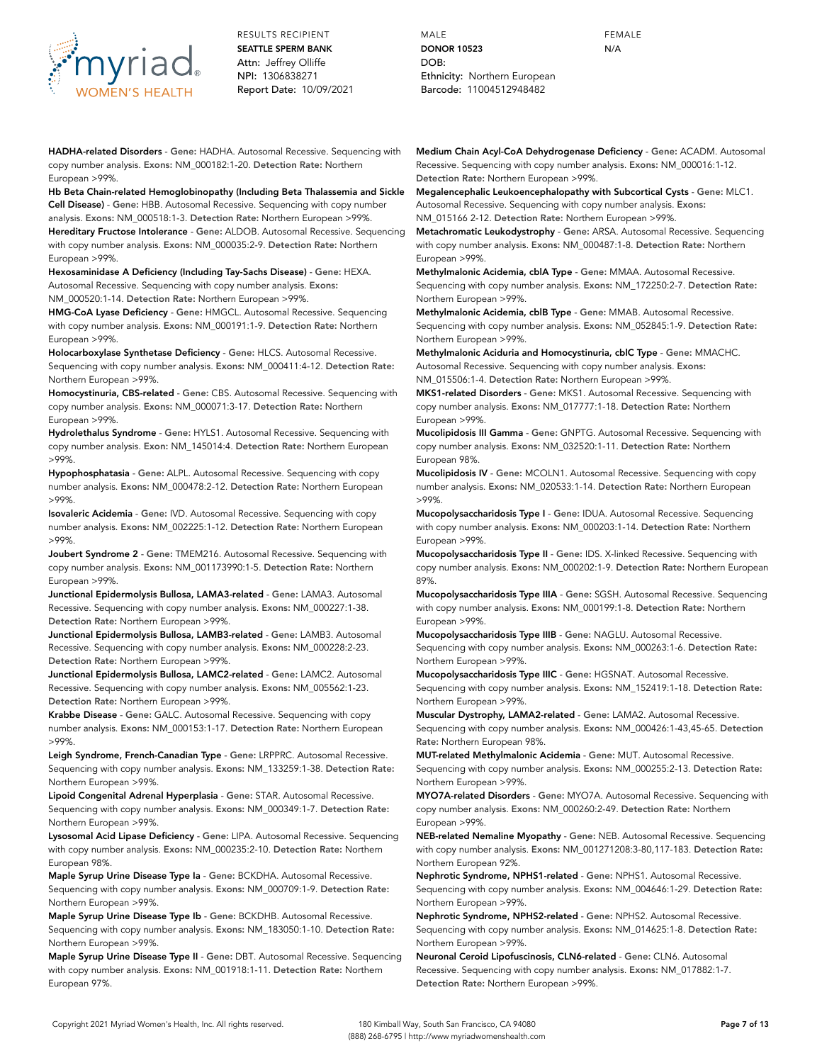

**HADHA-related Disorders** - **Gene:** HADHA. Autosomal Recessive. Sequencing with copy number analysis. **Exons:** NM\_000182:1-20. **Detection Rate:** Northern European >99%.

**Hb Beta Chain-related Hemoglobinopathy (Including Beta Thalassemia and Sickle Cell Disease)** - **Gene:** HBB. Autosomal Recessive. Sequencing with copy number analysis. **Exons:** NM\_000518:1-3. **Detection Rate:** Northern European >99%.

**Hereditary Fructose Intolerance** - **Gene:** ALDOB. Autosomal Recessive. Sequencing with copy number analysis. **Exons:** NM\_000035:2-9. **Detection Rate:** Northern European >99%.

**Hexosaminidase A Deficiency (Including Tay-Sachs Disease)** - **Gene:** HEXA. Autosomal Recessive. Sequencing with copy number analysis. **Exons:** NM\_000520:1-14. **Detection Rate:** Northern European >99%.

**HMG-CoA Lyase Deficiency** - **Gene:** HMGCL. Autosomal Recessive. Sequencing with copy number analysis. **Exons:** NM\_000191:1-9. **Detection Rate:** Northern European >99%.

**Holocarboxylase Synthetase Deficiency** - **Gene:** HLCS. Autosomal Recessive. Sequencing with copy number analysis. **Exons:** NM\_000411:4-12. **Detection Rate:** Northern European >99%.

**Homocystinuria, CBS-related** - **Gene:** CBS. Autosomal Recessive. Sequencing with copy number analysis. **Exons:** NM\_000071:3-17. **Detection Rate:** Northern European >99%.

**Hydrolethalus Syndrome** - **Gene:** HYLS1. Autosomal Recessive. Sequencing with copy number analysis. **Exon:** NM\_145014:4. **Detection Rate:** Northern European >99%.

**Hypophosphatasia** - **Gene:** ALPL. Autosomal Recessive. Sequencing with copy number analysis. **Exons:** NM\_000478:2-12. **Detection Rate:** Northern European >99%.

**Isovaleric Acidemia** - **Gene:** IVD. Autosomal Recessive. Sequencing with copy number analysis. **Exons:** NM\_002225:1-12. **Detection Rate:** Northern European >99%.

**Joubert Syndrome 2** - **Gene:** TMEM216. Autosomal Recessive. Sequencing with copy number analysis. **Exons:** NM\_001173990:1-5. **Detection Rate:** Northern European >99%.

**Junctional Epidermolysis Bullosa, LAMA3-related** - **Gene:** LAMA3. Autosomal Recessive. Sequencing with copy number analysis. **Exons:** NM\_000227:1-38. **Detection Rate:** Northern European >99%.

**Junctional Epidermolysis Bullosa, LAMB3-related** - **Gene:** LAMB3. Autosomal Recessive. Sequencing with copy number analysis. **Exons:** NM\_000228:2-23. **Detection Rate:** Northern European >99%.

**Junctional Epidermolysis Bullosa, LAMC2-related** - **Gene:** LAMC2. Autosomal Recessive. Sequencing with copy number analysis. **Exons:** NM\_005562:1-23. **Detection Rate:** Northern European >99%.

**Krabbe Disease** - **Gene:** GALC. Autosomal Recessive. Sequencing with copy number analysis. **Exons:** NM\_000153:1-17. **Detection Rate:** Northern European >99%.

**Leigh Syndrome, French-Canadian Type** - **Gene:** LRPPRC. Autosomal Recessive. Sequencing with copy number analysis. **Exons:** NM\_133259:1-38. **Detection Rate:** Northern European >99%.

**Lipoid Congenital Adrenal Hyperplasia** - **Gene:** STAR. Autosomal Recessive. Sequencing with copy number analysis. **Exons:** NM\_000349:1-7. **Detection Rate:** Northern European >99%.

**Lysosomal Acid Lipase Deficiency** - **Gene:** LIPA. Autosomal Recessive. Sequencing with copy number analysis. **Exons:** NM\_000235:2-10. **Detection Rate:** Northern European 98%.

**Maple Syrup Urine Disease Type Ia** - **Gene:** BCKDHA. Autosomal Recessive. Sequencing with copy number analysis. **Exons:** NM\_000709:1-9. **Detection Rate:** Northern European >99%.

**Maple Syrup Urine Disease Type Ib** - **Gene:** BCKDHB. Autosomal Recessive. Sequencing with copy number analysis. **Exons:** NM\_183050:1-10. **Detection Rate:** Northern European >99%.

**Maple Syrup Urine Disease Type II** - **Gene:** DBT. Autosomal Recessive. Sequencing with copy number analysis. **Exons:** NM\_001918:1-11. **Detection Rate:** Northern European 97%.

MALE **DONOR 10523** DOB: Ethnicity: Northern European Barcode: 11004512948482

**Medium Chain Acyl-CoA Dehydrogenase Deficiency** - **Gene:** ACADM. Autosomal Recessive. Sequencing with copy number analysis. **Exons:** NM\_000016:1-12. **Detection Rate:** Northern European >99%.

FEMALE N/A

**Megalencephalic Leukoencephalopathy with Subcortical Cysts** - **Gene:** MLC1. Autosomal Recessive. Sequencing with copy number analysis. **Exons:** NM\_015166 2-12. **Detection Rate:** Northern European >99%.

**Metachromatic Leukodystrophy** - **Gene:** ARSA. Autosomal Recessive. Sequencing with copy number analysis. **Exons:** NM\_000487:1-8. **Detection Rate:** Northern European >99%.

**Methylmalonic Acidemia, cblA Type** - **Gene:** MMAA. Autosomal Recessive. Sequencing with copy number analysis. **Exons:** NM\_172250:2-7. **Detection Rate:** Northern European >99%.

**Methylmalonic Acidemia, cblB Type** - **Gene:** MMAB. Autosomal Recessive. Sequencing with copy number analysis. **Exons:** NM\_052845:1-9. **Detection Rate:** Northern European >99%.

**Methylmalonic Aciduria and Homocystinuria, cblC Type** - **Gene:** MMACHC. Autosomal Recessive. Sequencing with copy number analysis. **Exons:** NM\_015506:1-4. **Detection Rate:** Northern European >99%.

**MKS1-related Disorders** - **Gene:** MKS1. Autosomal Recessive. Sequencing with copy number analysis. **Exons:** NM\_017777:1-18. **Detection Rate:** Northern European >99%.

**Mucolipidosis III Gamma** - **Gene:** GNPTG. Autosomal Recessive. Sequencing with copy number analysis. **Exons:** NM\_032520:1-11. **Detection Rate:** Northern European 98%.

**Mucolipidosis IV** - **Gene:** MCOLN1. Autosomal Recessive. Sequencing with copy number analysis. **Exons:** NM\_020533:1-14. **Detection Rate:** Northern European >99%.

**Mucopolysaccharidosis Type I** - **Gene:** IDUA. Autosomal Recessive. Sequencing with copy number analysis. **Exons:** NM\_000203:1-14. **Detection Rate:** Northern European >99%.

**Mucopolysaccharidosis Type II** - **Gene:** IDS. X-linked Recessive. Sequencing with copy number analysis. **Exons:** NM\_000202:1-9. **Detection Rate:** Northern European 89%.

**Mucopolysaccharidosis Type IIIA** - **Gene:** SGSH. Autosomal Recessive. Sequencing with copy number analysis. **Exons:** NM\_000199:1-8. **Detection Rate:** Northern European >99%.

**Mucopolysaccharidosis Type IIIB** - **Gene:** NAGLU. Autosomal Recessive. Sequencing with copy number analysis. **Exons:** NM\_000263:1-6. **Detection Rate:** Northern European >99%.

**Mucopolysaccharidosis Type IIIC** - **Gene:** HGSNAT. Autosomal Recessive. Sequencing with copy number analysis. **Exons:** NM\_152419:1-18. **Detection Rate:** Northern European >99%.

**Muscular Dystrophy, LAMA2-related** - **Gene:** LAMA2. Autosomal Recessive. Sequencing with copy number analysis. **Exons:** NM\_000426:1-43,45-65. **Detection Rate:** Northern European 98%.

**MUT-related Methylmalonic Acidemia** - **Gene:** MUT. Autosomal Recessive. Sequencing with copy number analysis. **Exons:** NM\_000255:2-13. **Detection Rate:** Northern European >99%.

**MYO7A-related Disorders** - **Gene:** MYO7A. Autosomal Recessive. Sequencing with copy number analysis. **Exons:** NM\_000260:2-49. **Detection Rate:** Northern European >99%.

**NEB-related Nemaline Myopathy** - **Gene:** NEB. Autosomal Recessive. Sequencing with copy number analysis. **Exons:** NM\_001271208:3-80,117-183. **Detection Rate:** Northern European 92%.

**Nephrotic Syndrome, NPHS1-related** - **Gene:** NPHS1. Autosomal Recessive. Sequencing with copy number analysis. **Exons:** NM\_004646:1-29. **Detection Rate:** Northern European >99%.

**Nephrotic Syndrome, NPHS2-related** - **Gene:** NPHS2. Autosomal Recessive. Sequencing with copy number analysis. **Exons:** NM\_014625:1-8. **Detection Rate:** Northern European >99%.

**Neuronal Ceroid Lipofuscinosis, CLN6-related** - **Gene:** CLN6. Autosomal Recessive. Sequencing with copy number analysis. **Exons:** NM\_017882:1-7. **Detection Rate:** Northern European >99%.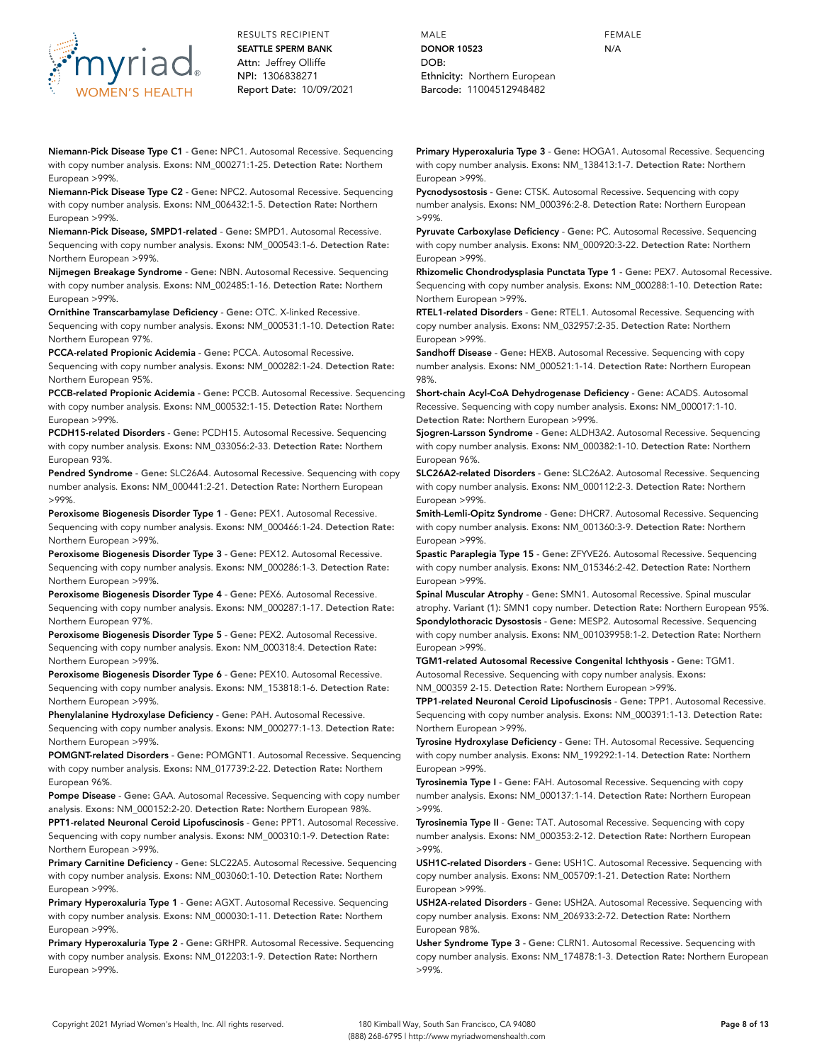

**Niemann-Pick Disease Type C1** - **Gene:** NPC1. Autosomal Recessive. Sequencing with copy number analysis. **Exons:** NM\_000271:1-25. **Detection Rate:** Northern European >99%.

**Niemann-Pick Disease Type C2** - **Gene:** NPC2. Autosomal Recessive. Sequencing with copy number analysis. **Exons:** NM\_006432:1-5. **Detection Rate:** Northern European >99%.

**Niemann-Pick Disease, SMPD1-related** - **Gene:** SMPD1. Autosomal Recessive. Sequencing with copy number analysis. **Exons:** NM\_000543:1-6. **Detection Rate:** Northern European >99%.

**Nijmegen Breakage Syndrome** - **Gene:** NBN. Autosomal Recessive. Sequencing with copy number analysis. **Exons:** NM\_002485:1-16. **Detection Rate:** Northern European >99%.

**Ornithine Transcarbamylase Deficiency** - **Gene:** OTC. X-linked Recessive. Sequencing with copy number analysis. **Exons:** NM\_000531:1-10. **Detection Rate:** Northern European 97%.

**PCCA-related Propionic Acidemia** - **Gene:** PCCA. Autosomal Recessive. Sequencing with copy number analysis. **Exons:** NM\_000282:1-24. **Detection Rate:** Northern European 95%.

**PCCB-related Propionic Acidemia** - **Gene:** PCCB. Autosomal Recessive. Sequencing with copy number analysis. **Exons:** NM\_000532:1-15. **Detection Rate:** Northern European >99%.

**PCDH15-related Disorders** - **Gene:** PCDH15. Autosomal Recessive. Sequencing with copy number analysis. **Exons:** NM\_033056:2-33. **Detection Rate:** Northern European 93%.

**Pendred Syndrome** - **Gene:** SLC26A4. Autosomal Recessive. Sequencing with copy number analysis. **Exons:** NM\_000441:2-21. **Detection Rate:** Northern European >99%.

**Peroxisome Biogenesis Disorder Type 1** - **Gene:** PEX1. Autosomal Recessive. Sequencing with copy number analysis. **Exons:** NM\_000466:1-24. **Detection Rate:** Northern European >99%.

**Peroxisome Biogenesis Disorder Type 3** - **Gene:** PEX12. Autosomal Recessive. Sequencing with copy number analysis. **Exons:** NM\_000286:1-3. **Detection Rate:** Northern European >99%.

**Peroxisome Biogenesis Disorder Type 4** - **Gene:** PEX6. Autosomal Recessive. Sequencing with copy number analysis. **Exons:** NM\_000287:1-17. **Detection Rate:** Northern European 97%.

**Peroxisome Biogenesis Disorder Type 5** - **Gene:** PEX2. Autosomal Recessive. Sequencing with copy number analysis. **Exon:** NM\_000318:4. **Detection Rate:** Northern European >99%.

**Peroxisome Biogenesis Disorder Type 6** - **Gene:** PEX10. Autosomal Recessive. Sequencing with copy number analysis. **Exons:** NM\_153818:1-6. **Detection Rate:** Northern European >99%.

**Phenylalanine Hydroxylase Deficiency** - **Gene:** PAH. Autosomal Recessive. Sequencing with copy number analysis. **Exons:** NM\_000277:1-13. **Detection Rate:** Northern European >99%.

**POMGNT-related Disorders** - **Gene:** POMGNT1. Autosomal Recessive. Sequencing with copy number analysis. **Exons:** NM\_017739:2-22. **Detection Rate:** Northern European 96%.

**Pompe Disease** - **Gene:** GAA. Autosomal Recessive. Sequencing with copy number analysis. **Exons:** NM\_000152:2-20. **Detection Rate:** Northern European 98%.

**PPT1-related Neuronal Ceroid Lipofuscinosis** - **Gene:** PPT1. Autosomal Recessive. Sequencing with copy number analysis. **Exons:** NM\_000310:1-9. **Detection Rate:** Northern European >99%.

**Primary Carnitine Deficiency** - **Gene:** SLC22A5. Autosomal Recessive. Sequencing with copy number analysis. **Exons:** NM\_003060:1-10. **Detection Rate:** Northern European >99%.

**Primary Hyperoxaluria Type 1** - **Gene:** AGXT. Autosomal Recessive. Sequencing with copy number analysis. **Exons:** NM\_000030:1-11. **Detection Rate:** Northern European >99%.

**Primary Hyperoxaluria Type 2** - **Gene:** GRHPR. Autosomal Recessive. Sequencing with copy number analysis. **Exons:** NM\_012203:1-9. **Detection Rate:** Northern European >99%.

MALE **DONOR 10523** DOB: Ethnicity: Northern European Barcode: 11004512948482

**Primary Hyperoxaluria Type 3** - **Gene:** HOGA1. Autosomal Recessive. Sequencing with copy number analysis. **Exons:** NM\_138413:1-7. **Detection Rate:** Northern European >99%.

**Pycnodysostosis** - **Gene:** CTSK. Autosomal Recessive. Sequencing with copy number analysis. **Exons:** NM\_000396:2-8. **Detection Rate:** Northern European >99%.

**Pyruvate Carboxylase Deficiency** - **Gene:** PC. Autosomal Recessive. Sequencing with copy number analysis. **Exons:** NM\_000920:3-22. **Detection Rate:** Northern European >99%.

**Rhizomelic Chondrodysplasia Punctata Type 1** - **Gene:** PEX7. Autosomal Recessive. Sequencing with copy number analysis. **Exons:** NM\_000288:1-10. **Detection Rate:** Northern European >99%.

**RTEL1-related Disorders** - **Gene:** RTEL1. Autosomal Recessive. Sequencing with copy number analysis. **Exons:** NM\_032957:2-35. **Detection Rate:** Northern European >99%.

**Sandhoff Disease** - **Gene:** HEXB. Autosomal Recessive. Sequencing with copy number analysis. **Exons:** NM\_000521:1-14. **Detection Rate:** Northern European 98%.

**Short-chain Acyl-CoA Dehydrogenase Deficiency** - **Gene:** ACADS. Autosomal Recessive. Sequencing with copy number analysis. **Exons:** NM\_000017:1-10. **Detection Rate:** Northern European >99%.

**Sjogren-Larsson Syndrome** - **Gene:** ALDH3A2. Autosomal Recessive. Sequencing with copy number analysis. **Exons:** NM\_000382:1-10. **Detection Rate:** Northern European 96%.

**SLC26A2-related Disorders** - **Gene:** SLC26A2. Autosomal Recessive. Sequencing with copy number analysis. **Exons:** NM\_000112:2-3. **Detection Rate:** Northern European >99%.

**Smith-Lemli-Opitz Syndrome** - **Gene:** DHCR7. Autosomal Recessive. Sequencing with copy number analysis. **Exons:** NM\_001360:3-9. **Detection Rate:** Northern European >99%.

**Spastic Paraplegia Type 15** - **Gene:** ZFYVE26. Autosomal Recessive. Sequencing with copy number analysis. **Exons:** NM\_015346:2-42. **Detection Rate:** Northern European >99%.

**Spinal Muscular Atrophy** - **Gene:** SMN1. Autosomal Recessive. Spinal muscular atrophy. **Variant (1):** SMN1 copy number. **Detection Rate:** Northern European 95%. **Spondylothoracic Dysostosis** - **Gene:** MESP2. Autosomal Recessive. Sequencing with copy number analysis. **Exons:** NM\_001039958:1-2. **Detection Rate:** Northern European >99%.

**TGM1-related Autosomal Recessive Congenital Ichthyosis** - **Gene:** TGM1. Autosomal Recessive. Sequencing with copy number analysis. **Exons:**

NM\_000359 2-15. **Detection Rate:** Northern European >99%.

**TPP1-related Neuronal Ceroid Lipofuscinosis** - **Gene:** TPP1. Autosomal Recessive. Sequencing with copy number analysis. **Exons:** NM\_000391:1-13. **Detection Rate:** Northern European >99%.

**Tyrosine Hydroxylase Deficiency** - **Gene:** TH. Autosomal Recessive. Sequencing with copy number analysis. **Exons:** NM\_199292:1-14. **Detection Rate:** Northern European >99%.

**Tyrosinemia Type I** - **Gene:** FAH. Autosomal Recessive. Sequencing with copy number analysis. **Exons:** NM\_000137:1-14. **Detection Rate:** Northern European >99%.

**Tyrosinemia Type II** - **Gene:** TAT. Autosomal Recessive. Sequencing with copy number analysis. **Exons:** NM\_000353:2-12. **Detection Rate:** Northern European >99%.

**USH1C-related Disorders** - **Gene:** USH1C. Autosomal Recessive. Sequencing with copy number analysis. **Exons:** NM\_005709:1-21. **Detection Rate:** Northern European >99%.

**USH2A-related Disorders** - **Gene:** USH2A. Autosomal Recessive. Sequencing with copy number analysis. **Exons:** NM\_206933:2-72. **Detection Rate:** Northern European 98%.

**Usher Syndrome Type 3** - **Gene:** CLRN1. Autosomal Recessive. Sequencing with copy number analysis. **Exons:** NM\_174878:1-3. **Detection Rate:** Northern European >99%.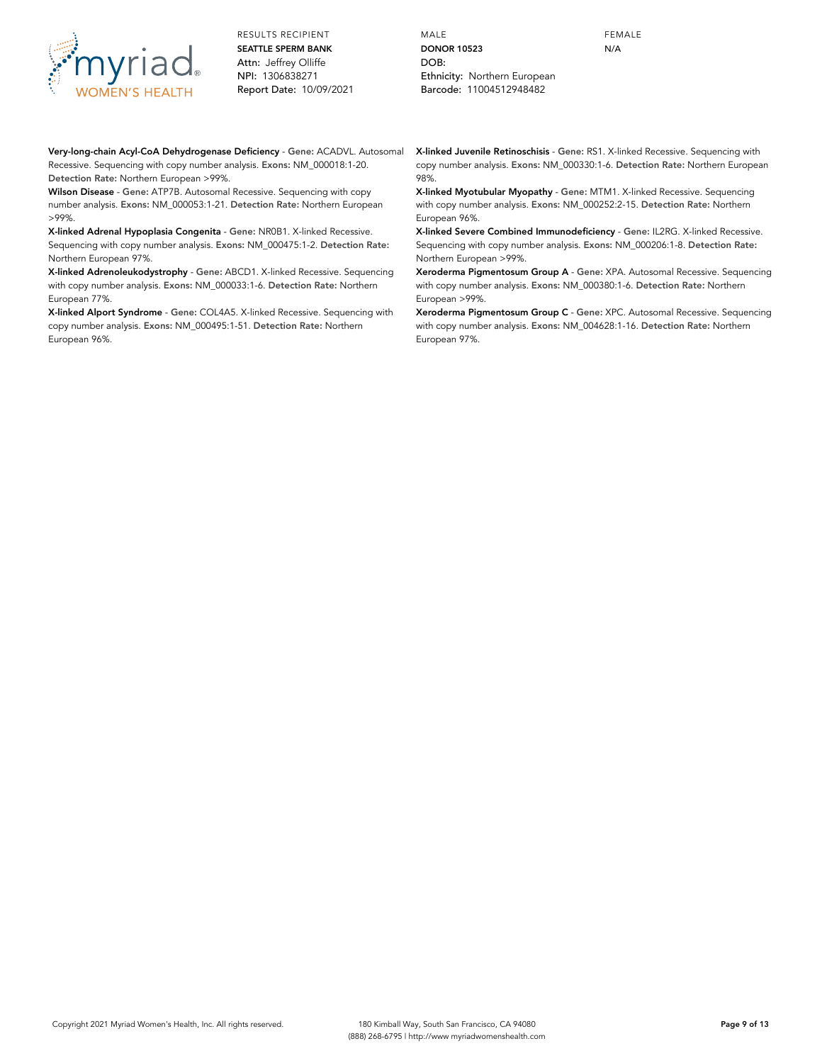

MALE **DONOR 10523** DOB: Ethnicity: Northern European Barcode: 11004512948482

FEMALE N/A

**Very-long-chain Acyl-CoA Dehydrogenase Deficiency** - **Gene:** ACADVL. Autosomal Recessive. Sequencing with copy number analysis. **Exons:** NM\_000018:1-20. **Detection Rate:** Northern European >99%.

**Wilson Disease** - **Gene:** ATP7B. Autosomal Recessive. Sequencing with copy number analysis. **Exons:** NM\_000053:1-21. **Detection Rate:** Northern European >99%.

**X-linked Adrenal Hypoplasia Congenita** - **Gene:** NR0B1. X-linked Recessive. Sequencing with copy number analysis. **Exons:** NM\_000475:1-2. **Detection Rate:** Northern European 97%.

**X-linked Adrenoleukodystrophy** - **Gene:** ABCD1. X-linked Recessive. Sequencing with copy number analysis. **Exons:** NM\_000033:1-6. **Detection Rate:** Northern European 77%.

**X-linked Alport Syndrome** - **Gene:** COL4A5. X-linked Recessive. Sequencing with copy number analysis. **Exons:** NM\_000495:1-51. **Detection Rate:** Northern European 96%.

**X-linked Juvenile Retinoschisis** - **Gene:** RS1. X-linked Recessive. Sequencing with copy number analysis. **Exons:** NM\_000330:1-6. **Detection Rate:** Northern European 98%.

**X-linked Myotubular Myopathy** - **Gene:** MTM1. X-linked Recessive. Sequencing with copy number analysis. **Exons:** NM\_000252:2-15. **Detection Rate:** Northern European 96%.

**X-linked Severe Combined Immunodeficiency** - **Gene:** IL2RG. X-linked Recessive. Sequencing with copy number analysis. **Exons:** NM\_000206:1-8. **Detection Rate:** Northern European >99%.

**Xeroderma Pigmentosum Group A** - **Gene:** XPA. Autosomal Recessive. Sequencing with copy number analysis. **Exons:** NM\_000380:1-6. **Detection Rate:** Northern European >99%.

**Xeroderma Pigmentosum Group C** - **Gene:** XPC. Autosomal Recessive. Sequencing with copy number analysis. **Exons:** NM\_004628:1-16. **Detection Rate:** Northern European 97%.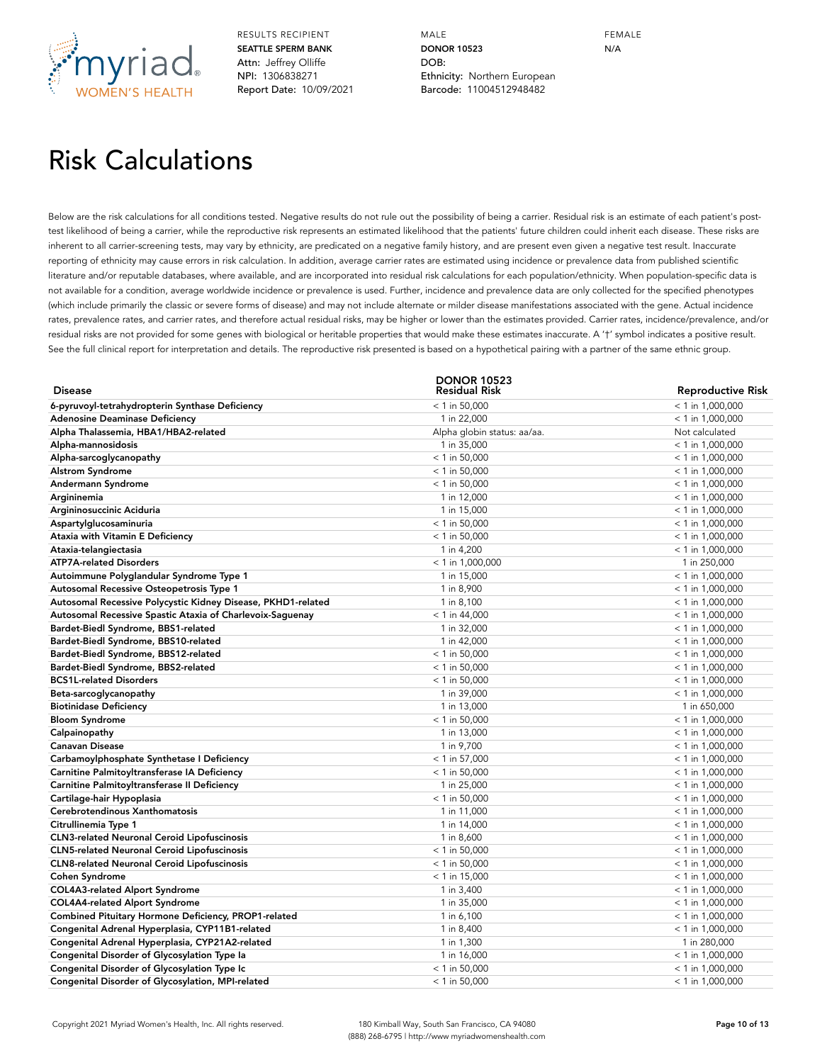

MALE **DONOR 10523** DOB: Ethnicity: Northern European Barcode: 11004512948482

FEMALE N/A

## Risk Calculations

Below are the risk calculations for all conditions tested. Negative results do not rule out the possibility of being a carrier. Residual risk is an estimate of each patient's posttest likelihood of being a carrier, while the reproductive risk represents an estimated likelihood that the patients' future children could inherit each disease. These risks are inherent to all carrier-screening tests, may vary by ethnicity, are predicated on a negative family history, and are present even given a negative test result. Inaccurate reporting of ethnicity may cause errors in risk calculation. In addition, average carrier rates are estimated using incidence or prevalence data from published scientific literature and/or reputable databases, where available, and are incorporated into residual risk calculations for each population/ethnicity. When population-specific data is not available for a condition, average worldwide incidence or prevalence is used. Further, incidence and prevalence data are only collected for the specified phenotypes (which include primarily the classic or severe forms of disease) and may not include alternate or milder disease manifestations associated with the gene. Actual incidence rates, prevalence rates, and carrier rates, and therefore actual residual risks, may be higher or lower than the estimates provided. Carrier rates, incidence/prevalence, and/or residual risks are not provided for some genes with biological or heritable properties that would make these estimates inaccurate. A '†' symbol indicates a positive result. See the full clinical report for interpretation and details. The reproductive risk presented is based on a hypothetical pairing with a partner of the same ethnic group.

| <b>Disease</b>                                               | <b>DONOR 10523</b><br><b>Residual Risk</b> |                    |
|--------------------------------------------------------------|--------------------------------------------|--------------------|
|                                                              |                                            | Reproductive Risk  |
| 6-pyruvoyl-tetrahydropterin Synthase Deficiency              | $<$ 1 in 50,000                            | $< 1$ in 1,000,000 |
| <b>Adenosine Deaminase Deficiency</b>                        | 1 in 22,000                                | $< 1$ in 1,000,000 |
| Alpha Thalassemia, HBA1/HBA2-related                         | Alpha globin status: aa/aa.                | Not calculated     |
| Alpha-mannosidosis                                           | 1 in 35,000                                | $<$ 1 in 1,000,000 |
| Alpha-sarcoglycanopathy                                      | $<$ 1 in 50,000                            | $< 1$ in 1,000,000 |
| <b>Alstrom Syndrome</b>                                      | $<$ 1 in 50,000                            | $<$ 1 in 1,000,000 |
| Andermann Syndrome                                           | $<$ 1 in 50,000                            | $<$ 1 in 1,000,000 |
| Argininemia                                                  | 1 in 12,000                                | $< 1$ in 1,000,000 |
| Argininosuccinic Aciduria                                    | 1 in 15,000                                | $<$ 1 in 1,000,000 |
| Aspartylglucosaminuria                                       | $<$ 1 in 50,000                            | $<$ 1 in 1,000,000 |
| Ataxia with Vitamin E Deficiency                             | $<$ 1 in 50,000                            | $< 1$ in 1,000,000 |
| Ataxia-telangiectasia                                        | 1 in 4,200                                 | $<$ 1 in 1,000,000 |
| <b>ATP7A-related Disorders</b>                               | $<$ 1 in 1,000,000                         | 1 in 250,000       |
| Autoimmune Polyglandular Syndrome Type 1                     | 1 in 15,000                                | $<$ 1 in 1,000,000 |
| Autosomal Recessive Osteopetrosis Type 1                     | 1 in 8,900                                 | $<$ 1 in 1,000,000 |
| Autosomal Recessive Polycystic Kidney Disease, PKHD1-related | 1 in 8,100                                 | $<$ 1 in 1,000,000 |
| Autosomal Recessive Spastic Ataxia of Charlevoix-Saguenay    | $< 1$ in 44,000                            | $<$ 1 in 1,000,000 |
| Bardet-Biedl Syndrome, BBS1-related                          | 1 in 32,000                                | $<$ 1 in 1,000,000 |
| Bardet-Biedl Syndrome, BBS10-related                         | 1 in 42,000                                | $<$ 1 in 1,000,000 |
| Bardet-Biedl Syndrome, BBS12-related                         | $<$ 1 in 50,000                            | $<$ 1 in 1,000,000 |
| Bardet-Biedl Syndrome, BBS2-related                          | $<$ 1 in 50,000                            | $<$ 1 in 1,000,000 |
| <b>BCS1L-related Disorders</b>                               | $<$ 1 in 50,000                            | $<$ 1 in 1,000,000 |
| Beta-sarcoglycanopathy                                       | 1 in 39,000                                | $<$ 1 in 1,000,000 |
| <b>Biotinidase Deficiency</b>                                | 1 in 13,000                                | 1 in 650,000       |
| <b>Bloom Syndrome</b>                                        | $<$ 1 in 50,000                            | $<$ 1 in 1,000,000 |
| Calpainopathy                                                | 1 in 13,000                                | $<$ 1 in 1,000,000 |
| <b>Canavan Disease</b>                                       | 1 in 9,700                                 | $< 1$ in 1,000,000 |
| Carbamoylphosphate Synthetase I Deficiency                   | $< 1$ in 57,000                            | $<$ 1 in 1,000,000 |
| Carnitine Palmitoyltransferase IA Deficiency                 | $<$ 1 in 50,000                            | $<$ 1 in 1,000,000 |
| Carnitine Palmitoyltransferase II Deficiency                 | 1 in 25,000                                | $<$ 1 in 1,000,000 |
| Cartilage-hair Hypoplasia                                    | $<$ 1 in 50,000                            | $<$ 1 in 1,000,000 |
| Cerebrotendinous Xanthomatosis                               | 1 in 11,000                                | $<$ 1 in 1,000,000 |
| Citrullinemia Type 1                                         | 1 in 14,000                                | $<$ 1 in 1,000,000 |
| <b>CLN3-related Neuronal Ceroid Lipofuscinosis</b>           | 1 in 8,600                                 | $<$ 1 in 1,000,000 |
| <b>CLN5-related Neuronal Ceroid Lipofuscinosis</b>           | $<$ 1 in 50,000                            | $<$ 1 in 1,000,000 |
| <b>CLN8-related Neuronal Ceroid Lipofuscinosis</b>           | $<$ 1 in 50,000                            | $<$ 1 in 1,000,000 |
| <b>Cohen Syndrome</b>                                        | $<$ 1 in 15,000                            | $<$ 1 in 1,000,000 |
| <b>COL4A3-related Alport Syndrome</b>                        | 1 in 3,400                                 | $<$ 1 in 1,000,000 |
| COL4A4-related Alport Syndrome                               | 1 in 35,000                                | $<$ 1 in 1,000,000 |
| Combined Pituitary Hormone Deficiency, PROP1-related         | 1 in 6,100                                 | $<$ 1 in 1,000,000 |
| Congenital Adrenal Hyperplasia, CYP11B1-related              | 1 in 8,400                                 | $<$ 1 in 1,000,000 |
| Congenital Adrenal Hyperplasia, CYP21A2-related              | 1 in 1,300                                 | 1 in 280,000       |
| Congenital Disorder of Glycosylation Type la                 | 1 in 16,000                                | $< 1$ in 1,000,000 |
| Congenital Disorder of Glycosylation Type Ic                 | $<$ 1 in 50,000                            | $<$ 1 in 1,000,000 |
| Congenital Disorder of Glycosylation, MPI-related            | $<$ 1 in 50,000                            | $<$ 1 in 1,000,000 |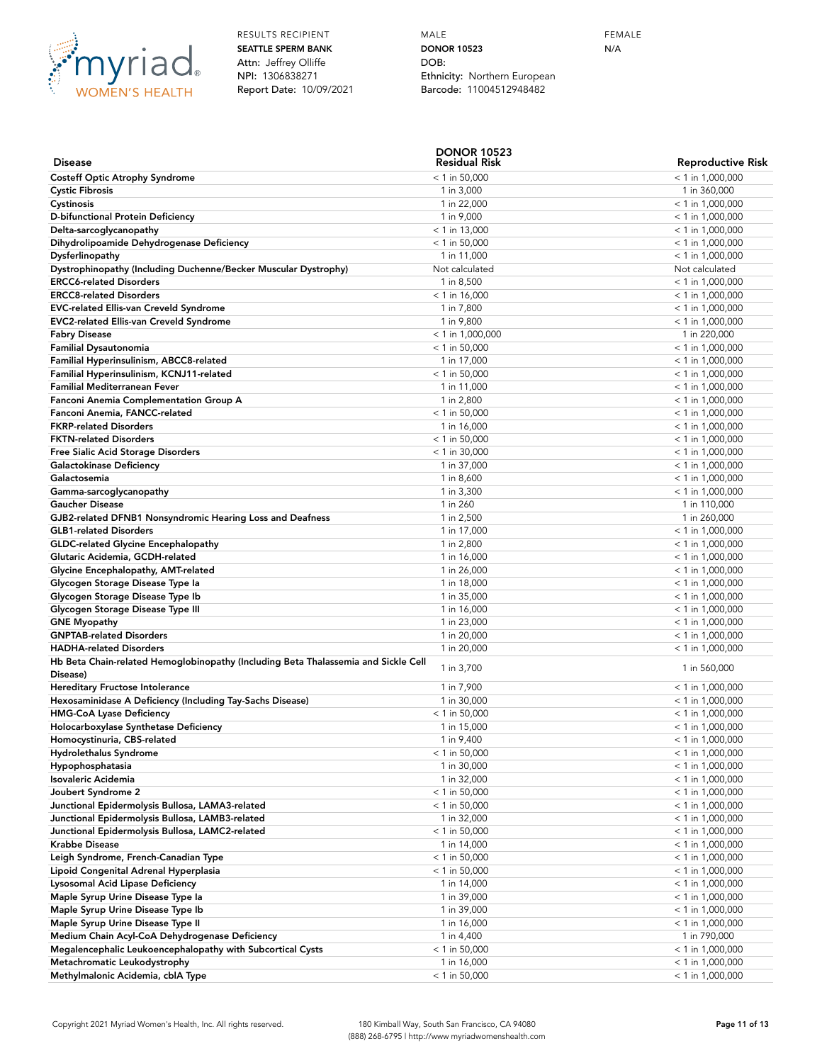

MALE **DONOR 10523** DOB: Ethnicity: Northern European Barcode: 11004512948482

FEMALE N/A

|                                                                                                   | <b>DONOR 10523</b>            |                                          |
|---------------------------------------------------------------------------------------------------|-------------------------------|------------------------------------------|
| <b>Disease</b>                                                                                    | <b>Residual Risk</b>          | <b>Reproductive Risk</b>                 |
| <b>Costeff Optic Atrophy Syndrome</b>                                                             | $<$ 1 in 50,000               | $<$ 1 in 1,000,000                       |
| <b>Cystic Fibrosis</b>                                                                            | 1 in 3,000                    | 1 in 360,000                             |
| Cystinosis                                                                                        | 1 in 22,000                   | $<$ 1 in 1,000,000                       |
| D-bifunctional Protein Deficiency                                                                 | 1 in 9,000                    | $<$ 1 in 1,000,000                       |
| Delta-sarcoglycanopathy                                                                           | $<$ 1 in 13,000               | $<$ 1 in 1,000,000                       |
| Dihydrolipoamide Dehydrogenase Deficiency                                                         | $<$ 1 in 50,000               | $<$ 1 in 1,000,000                       |
| Dysferlinopathy                                                                                   | 1 in 11,000                   | $<$ 1 in 1,000,000                       |
| Dystrophinopathy (Including Duchenne/Becker Muscular Dystrophy)<br><b>ERCC6-related Disorders</b> | Not calculated                | Not calculated                           |
| <b>ERCC8-related Disorders</b>                                                                    | 1 in 8,500<br>$< 1$ in 16,000 | $<$ 1 in 1,000,000                       |
| <b>EVC-related Ellis-van Creveld Syndrome</b>                                                     | 1 in 7,800                    | $<$ 1 in 1,000,000<br>$<$ 1 in 1,000,000 |
| <b>EVC2-related Ellis-van Creveld Syndrome</b>                                                    | 1 in 9,800                    | $<$ 1 in 1,000,000                       |
| <b>Fabry Disease</b>                                                                              | $<$ 1 in 1,000,000            | 1 in 220,000                             |
| <b>Familial Dysautonomia</b>                                                                      | $<$ 1 in 50,000               | $<$ 1 in 1,000,000                       |
| Familial Hyperinsulinism, ABCC8-related                                                           | 1 in 17,000                   | $<$ 1 in 1,000,000                       |
| Familial Hyperinsulinism, KCNJ11-related                                                          | $<$ 1 in 50,000               | $<$ 1 in 1,000,000                       |
| <b>Familial Mediterranean Fever</b>                                                               | 1 in 11,000                   | $<$ 1 in 1,000,000                       |
| Fanconi Anemia Complementation Group A                                                            | 1 in 2,800                    | $<$ 1 in 1,000,000                       |
| Fanconi Anemia, FANCC-related                                                                     | $<$ 1 in 50,000               | $<$ 1 in 1,000,000                       |
| <b>FKRP-related Disorders</b>                                                                     | 1 in 16,000                   | $<$ 1 in 1,000,000                       |
| <b>FKTN-related Disorders</b>                                                                     | $<$ 1 in 50,000               | $<$ 1 in 1,000,000                       |
| Free Sialic Acid Storage Disorders                                                                | $<$ 1 in 30,000               | $<$ 1 in 1,000,000                       |
| Galactokinase Deficiency                                                                          | 1 in 37,000                   | $<$ 1 in 1,000,000                       |
| Galactosemia                                                                                      | 1 in 8,600                    | $<$ 1 in 1,000,000                       |
| Gamma-sarcoglycanopathy                                                                           | 1 in 3,300                    | $<$ 1 in 1,000,000                       |
| <b>Gaucher Disease</b>                                                                            | 1 in 260                      | 1 in 110,000                             |
| GJB2-related DFNB1 Nonsyndromic Hearing Loss and Deafness                                         | 1 in 2,500                    | 1 in 260,000                             |
| <b>GLB1-related Disorders</b>                                                                     | 1 in 17,000                   | $<$ 1 in 1,000,000                       |
| <b>GLDC-related Glycine Encephalopathy</b>                                                        | 1 in 2,800                    | $<$ 1 in 1,000,000                       |
| Glutaric Acidemia, GCDH-related                                                                   | 1 in 16,000                   | $< 1$ in 1,000,000                       |
| Glycine Encephalopathy, AMT-related                                                               | 1 in 26,000                   | $<$ 1 in 1,000,000                       |
| Glycogen Storage Disease Type la                                                                  | 1 in 18,000                   | $<$ 1 in 1,000,000                       |
| Glycogen Storage Disease Type Ib                                                                  | 1 in 35,000                   | $<$ 1 in 1,000,000                       |
| Glycogen Storage Disease Type III                                                                 | 1 in 16,000                   | $<$ 1 in 1,000,000                       |
| <b>GNE Myopathy</b><br><b>GNPTAB-related Disorders</b>                                            | 1 in 23,000<br>1 in 20,000    | $<$ 1 in 1,000,000<br>$<$ 1 in 1,000,000 |
| <b>HADHA-related Disorders</b>                                                                    | 1 in 20,000                   | $<$ 1 in 1,000,000                       |
| Hb Beta Chain-related Hemoglobinopathy (Including Beta Thalassemia and Sickle Cell                |                               |                                          |
| Disease)                                                                                          | 1 in 3,700                    | 1 in 560,000                             |
| Hereditary Fructose Intolerance                                                                   | 1 in 7,900                    | $<$ 1 in 1,000,000                       |
| Hexosaminidase A Deficiency (Including Tay-Sachs Disease)                                         | 1 in 30,000                   | $<$ 1 in 1,000,000                       |
| <b>HMG-CoA Lyase Deficiency</b>                                                                   | $< 1$ in 50,000               | $<$ 1 in 1,000,000                       |
| Holocarboxylase Synthetase Deficiency                                                             | 1 in 15,000                   | $<$ 1 in 1,000,000                       |
| Homocystinuria, CBS-related                                                                       | 1 in 9,400                    | $<$ 1 in 1,000,000                       |
| Hydrolethalus Syndrome                                                                            | $<$ 1 in 50,000               | $<$ 1 in 1,000,000                       |
| Hypophosphatasia                                                                                  | 1 in 30,000                   | $< 1$ in 1,000,000                       |
| Isovaleric Acidemia                                                                               | 1 in 32,000                   | $<$ 1 in 1,000,000                       |
| Joubert Syndrome 2                                                                                | $<$ 1 in 50,000               | $<$ 1 in 1,000,000                       |
| Junctional Epidermolysis Bullosa, LAMA3-related                                                   | $<$ 1 in 50,000               | $< 1$ in 1,000,000                       |
| Junctional Epidermolysis Bullosa, LAMB3-related                                                   | 1 in 32,000                   | $<$ 1 in 1,000,000                       |
| Junctional Epidermolysis Bullosa, LAMC2-related                                                   | $<$ 1 in 50,000               | $<$ 1 in 1,000,000                       |
| <b>Krabbe Disease</b>                                                                             | 1 in 14,000                   | $<$ 1 in 1,000,000                       |
| Leigh Syndrome, French-Canadian Type                                                              | $<$ 1 in 50,000               | $<$ 1 in 1,000,000                       |
| Lipoid Congenital Adrenal Hyperplasia                                                             | $<$ 1 in 50,000               | $<$ 1 in 1,000,000                       |
| Lysosomal Acid Lipase Deficiency                                                                  | 1 in 14,000                   | $<$ 1 in 1,000,000                       |
| Maple Syrup Urine Disease Type la                                                                 | 1 in 39,000                   | $<$ 1 in 1,000,000                       |
| Maple Syrup Urine Disease Type Ib                                                                 | 1 in 39,000                   | $<$ 1 in 1,000,000                       |
| Maple Syrup Urine Disease Type II<br>Medium Chain Acyl-CoA Dehydrogenase Deficiency               | 1 in 16,000<br>1 in 4,400     | $<$ 1 in 1,000,000<br>1 in 790,000       |
| Megalencephalic Leukoencephalopathy with Subcortical Cysts                                        | $<$ 1 in 50,000               | $<$ 1 in 1,000,000                       |
| Metachromatic Leukodystrophy                                                                      | 1 in 16,000                   | $<$ 1 in 1,000,000                       |
| Methylmalonic Acidemia, cblA Type                                                                 | $< 1$ in 50,000               | $<$ 1 in 1,000,000                       |
|                                                                                                   |                               |                                          |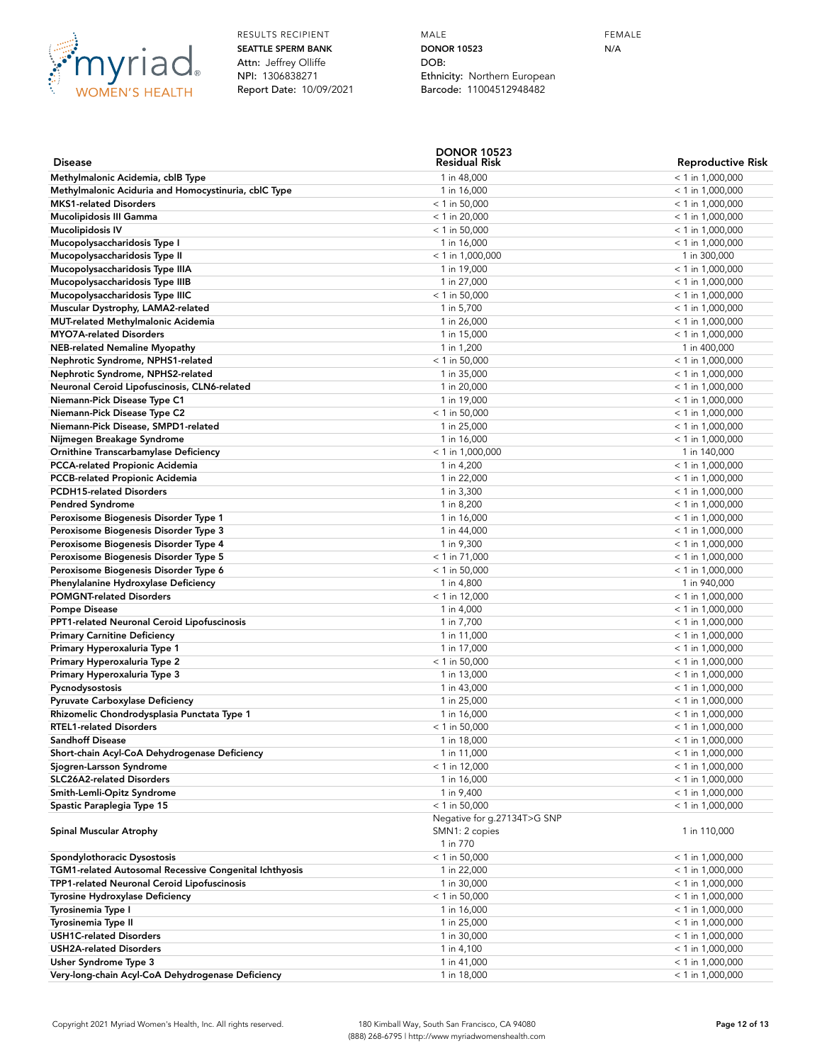

MALE **DONOR 10523** DOB: Ethnicity: Northern European Barcode: 11004512948482

FEMALE N/A

|                                                        | <b>DONOR 10523</b>          |                          |
|--------------------------------------------------------|-----------------------------|--------------------------|
| <b>Disease</b>                                         | Residual Risk               | <b>Reproductive Risk</b> |
| Methylmalonic Acidemia, cblB Type                      | 1 in 48,000                 | $< 1$ in 1,000,000       |
| Methylmalonic Aciduria and Homocystinuria, cblC Type   | 1 in 16,000                 | $<$ 1 in 1,000,000       |
| <b>MKS1-related Disorders</b>                          | $<$ 1 in 50,000             | $<$ 1 in 1,000,000       |
| Mucolipidosis III Gamma                                | $<$ 1 in 20,000             | $<$ 1 in 1,000,000       |
| <b>Mucolipidosis IV</b>                                | $<$ 1 in 50,000             | $<$ 1 in 1,000,000       |
| Mucopolysaccharidosis Type I                           | 1 in 16,000                 | $<$ 1 in 1,000,000       |
| Mucopolysaccharidosis Type II                          | $<$ 1 in 1,000,000          | 1 in 300,000             |
| Mucopolysaccharidosis Type IIIA                        | 1 in 19,000                 | $<$ 1 in 1,000,000       |
| Mucopolysaccharidosis Type IIIB                        | 1 in 27,000                 | $<$ 1 in 1,000,000       |
| Mucopolysaccharidosis Type IIIC                        | $<$ 1 in 50,000             | $<$ 1 in 1,000,000       |
| Muscular Dystrophy, LAMA2-related                      | 1 in 5,700                  | $<$ 1 in 1,000,000       |
| MUT-related Methylmalonic Acidemia                     | 1 in 26,000                 | $< 1$ in 1,000,000       |
| <b>MYO7A-related Disorders</b>                         | 1 in 15,000                 | $<$ 1 in 1,000,000       |
| <b>NEB-related Nemaline Myopathy</b>                   | 1 in 1,200                  | 1 in 400,000             |
| Nephrotic Syndrome, NPHS1-related                      | $<$ 1 in 50,000             | $<$ 1 in 1,000,000       |
| Nephrotic Syndrome, NPHS2-related                      | 1 in 35,000                 | $<$ 1 in 1,000,000       |
| Neuronal Ceroid Lipofuscinosis, CLN6-related           | 1 in 20,000                 | $<$ 1 in 1,000,000       |
| Niemann-Pick Disease Type C1                           | 1 in 19,000                 | $<$ 1 in 1,000,000       |
| Niemann-Pick Disease Type C2                           | $<$ 1 in 50,000             | $<$ 1 in 1,000,000       |
| Niemann-Pick Disease, SMPD1-related                    | 1 in 25,000                 | $<$ 1 in 1,000,000       |
| Nijmegen Breakage Syndrome                             | 1 in 16,000                 | $<$ 1 in 1,000,000       |
| Ornithine Transcarbamylase Deficiency                  | $<$ 1 in 1,000,000          | 1 in 140,000             |
| <b>PCCA-related Propionic Acidemia</b>                 | 1 in 4,200                  | $<$ 1 in 1,000,000       |
| <b>PCCB-related Propionic Acidemia</b>                 | 1 in 22,000                 | $<$ 1 in 1,000,000       |
| <b>PCDH15-related Disorders</b>                        | 1 in 3,300                  | $<$ 1 in 1,000,000       |
| <b>Pendred Syndrome</b>                                | 1 in 8,200                  | $<$ 1 in 1,000,000       |
| Peroxisome Biogenesis Disorder Type 1                  | 1 in 16,000                 | $<$ 1 in 1,000,000       |
| Peroxisome Biogenesis Disorder Type 3                  | 1 in 44,000                 | $<$ 1 in 1,000,000       |
| Peroxisome Biogenesis Disorder Type 4                  | 1 in 9,300                  | $< 1$ in 1,000,000       |
| Peroxisome Biogenesis Disorder Type 5                  | $<$ 1 in 71,000             | $<$ 1 in 1,000,000       |
| Peroxisome Biogenesis Disorder Type 6                  | $<$ 1 in 50,000             | $<$ 1 in 1,000,000       |
| Phenylalanine Hydroxylase Deficiency                   | 1 in 4,800                  | 1 in 940,000             |
| <b>POMGNT-related Disorders</b>                        | $<$ 1 in 12,000             | $<$ 1 in 1,000,000       |
| <b>Pompe Disease</b>                                   | 1 in 4,000                  | $<$ 1 in 1,000,000       |
| <b>PPT1-related Neuronal Ceroid Lipofuscinosis</b>     | 1 in 7,700                  | $<$ 1 in 1,000,000       |
| <b>Primary Carnitine Deficiency</b>                    | 1 in 11,000                 | $<$ 1 in 1,000,000       |
| Primary Hyperoxaluria Type 1                           | 1 in 17,000                 | $<$ 1 in 1,000,000       |
| Primary Hyperoxaluria Type 2                           | $<$ 1 in 50,000             | $<$ 1 in 1,000,000       |
| Primary Hyperoxaluria Type 3                           | 1 in 13,000                 | $<$ 1 in 1,000,000       |
| Pycnodysostosis                                        | 1 in 43,000                 | $<$ 1 in 1,000,000       |
| Pyruvate Carboxylase Deficiency                        | 1 in 25,000                 | $<$ 1 in 1,000,000       |
| Rhizomelic Chondrodysplasia Punctata Type 1            | 1 in 16,000                 | $<$ 1 in 1,000,000       |
| <b>RTEL1-related Disorders</b>                         | $<$ 1 in 50,000             | $<$ 1 in 1,000,000       |
| <b>Sandhoff Disease</b>                                | 1 in 18,000                 | $< 1$ in 1,000,000       |
| Short-chain Acyl-CoA Dehydrogenase Deficiency          | 1 in 11,000                 | $< 1$ in 1,000,000       |
| Sjogren-Larsson Syndrome                               | $<$ 1 in 12,000             | $< 1$ in 1,000,000       |
| <b>SLC26A2-related Disorders</b>                       | 1 in 16,000                 | $<$ 1 in 1,000,000       |
| Smith-Lemli-Opitz Syndrome                             | 1 in 9,400                  | $<$ 1 in 1,000,000       |
| Spastic Paraplegia Type 15                             | $<$ 1 in 50,000             | $<$ 1 in 1,000,000       |
|                                                        | Negative for g.27134T>G SNP |                          |
| Spinal Muscular Atrophy                                | SMN1: 2 copies              | 1 in 110,000             |
|                                                        | 1 in 770                    |                          |
| Spondylothoracic Dysostosis                            | $<$ 1 in 50,000             | $<$ 1 in 1,000,000       |
| TGM1-related Autosomal Recessive Congenital Ichthyosis | 1 in 22,000                 | $<$ 1 in 1,000,000       |
| TPP1-related Neuronal Ceroid Lipofuscinosis            | 1 in 30,000                 | $< 1$ in 1,000,000       |
| Tyrosine Hydroxylase Deficiency                        | $<$ 1 in 50,000             | $<$ 1 in 1,000,000       |
| Tyrosinemia Type I                                     | 1 in 16,000                 | $<$ 1 in 1,000,000       |
| Tyrosinemia Type II                                    | 1 in 25,000                 | $<$ 1 in 1,000,000       |
| <b>USH1C-related Disorders</b>                         | 1 in 30,000                 | $<$ 1 in 1,000,000       |
| <b>USH2A-related Disorders</b>                         | 1 in 4,100                  | $<$ 1 in 1,000,000       |
| Usher Syndrome Type 3                                  | 1 in 41,000                 | $<$ 1 in 1,000,000       |
| Very-long-chain Acyl-CoA Dehydrogenase Deficiency      | 1 in 18,000                 | $<$ 1 in 1,000,000       |
|                                                        |                             |                          |